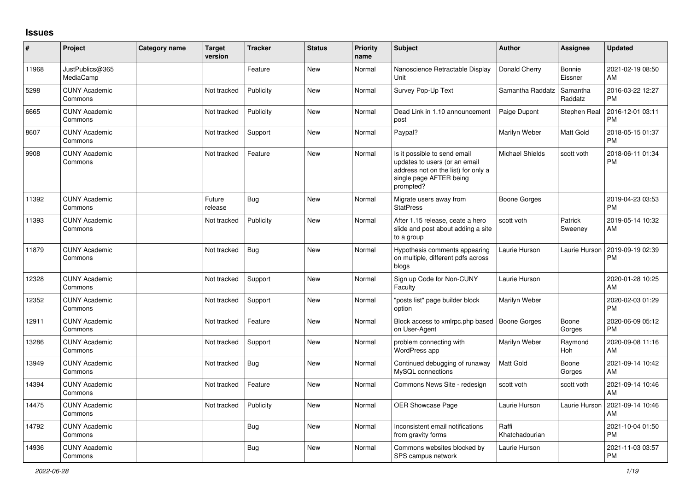## **Issues**

| #     | Project                         | <b>Category name</b> | <b>Target</b><br>version | <b>Tracker</b> | <b>Status</b> | <b>Priority</b><br>name | <b>Subject</b>                                                                                                                               | <b>Author</b>           | Assignee              | <b>Updated</b>                |
|-------|---------------------------------|----------------------|--------------------------|----------------|---------------|-------------------------|----------------------------------------------------------------------------------------------------------------------------------------------|-------------------------|-----------------------|-------------------------------|
| 11968 | JustPublics@365<br>MediaCamp    |                      |                          | Feature        | <b>New</b>    | Normal                  | Nanoscience Retractable Display<br>Unit                                                                                                      | Donald Cherry           | Bonnie<br>Eissner     | 2021-02-19 08:50<br>AM        |
| 5298  | <b>CUNY Academic</b><br>Commons |                      | Not tracked              | Publicity      | <b>New</b>    | Normal                  | Survey Pop-Up Text                                                                                                                           | Samantha Raddatz        | Samantha<br>Raddatz   | 2016-03-22 12:27<br><b>PM</b> |
| 6665  | <b>CUNY Academic</b><br>Commons |                      | Not tracked              | Publicity      | <b>New</b>    | Normal                  | Dead Link in 1.10 announcement<br>post                                                                                                       | Paige Dupont            | Stephen Real          | 2016-12-01 03:11<br><b>PM</b> |
| 8607  | <b>CUNY Academic</b><br>Commons |                      | Not tracked              | Support        | <b>New</b>    | Normal                  | Paypal?                                                                                                                                      | Marilyn Weber           | Matt Gold             | 2018-05-15 01:37<br><b>PM</b> |
| 9908  | <b>CUNY Academic</b><br>Commons |                      | Not tracked              | Feature        | <b>New</b>    | Normal                  | Is it possible to send email<br>updates to users (or an email<br>address not on the list) for only a<br>single page AFTER being<br>prompted? | <b>Michael Shields</b>  | scott voth            | 2018-06-11 01:34<br><b>PM</b> |
| 11392 | <b>CUNY Academic</b><br>Commons |                      | Future<br>release        | <b>Bug</b>     | <b>New</b>    | Normal                  | Migrate users away from<br><b>StatPress</b>                                                                                                  | <b>Boone Gorges</b>     |                       | 2019-04-23 03:53<br><b>PM</b> |
| 11393 | <b>CUNY Academic</b><br>Commons |                      | Not tracked              | Publicity      | <b>New</b>    | Normal                  | After 1.15 release, ceate a hero<br>slide and post about adding a site<br>to a group                                                         | scott voth              | Patrick<br>Sweeney    | 2019-05-14 10:32<br>AM        |
| 11879 | <b>CUNY Academic</b><br>Commons |                      | Not tracked              | Bug            | <b>New</b>    | Normal                  | Hypothesis comments appearing<br>on multiple, different pdfs across<br>blogs                                                                 | Laurie Hurson           | Laurie Hurson         | 2019-09-19 02:39<br><b>PM</b> |
| 12328 | <b>CUNY Academic</b><br>Commons |                      | Not tracked              | Support        | <b>New</b>    | Normal                  | Sign up Code for Non-CUNY<br>Faculty                                                                                                         | Laurie Hurson           |                       | 2020-01-28 10:25<br>AM        |
| 12352 | <b>CUNY Academic</b><br>Commons |                      | Not tracked              | Support        | New           | Normal                  | 'posts list" page builder block<br>option                                                                                                    | Marilyn Weber           |                       | 2020-02-03 01:29<br><b>PM</b> |
| 12911 | <b>CUNY Academic</b><br>Commons |                      | Not tracked              | Feature        | <b>New</b>    | Normal                  | Block access to xmlrpc.php based<br>on User-Agent                                                                                            | <b>Boone Gorges</b>     | Boone<br>Gorges       | 2020-06-09 05:12<br><b>PM</b> |
| 13286 | <b>CUNY Academic</b><br>Commons |                      | Not tracked              | Support        | New           | Normal                  | problem connecting with<br>WordPress app                                                                                                     | Marilyn Weber           | Raymond<br><b>Hoh</b> | 2020-09-08 11:16<br>AM        |
| 13949 | <b>CUNY Academic</b><br>Commons |                      | Not tracked              | Bug            | <b>New</b>    | Normal                  | Continued debugging of runaway<br>MySQL connections                                                                                          | Matt Gold               | Boone<br>Gorges       | 2021-09-14 10:42<br>AM        |
| 14394 | <b>CUNY Academic</b><br>Commons |                      | Not tracked              | Feature        | <b>New</b>    | Normal                  | Commons News Site - redesign                                                                                                                 | scott voth              | scott voth            | 2021-09-14 10:46<br>AM        |
| 14475 | <b>CUNY Academic</b><br>Commons |                      | Not tracked              | Publicity      | New           | Normal                  | <b>OER Showcase Page</b>                                                                                                                     | Laurie Hurson           | Laurie Hurson         | 2021-09-14 10:46<br>AM        |
| 14792 | <b>CUNY Academic</b><br>Commons |                      |                          | <b>Bug</b>     | <b>New</b>    | Normal                  | Inconsistent email notifications<br>from gravity forms                                                                                       | Raffi<br>Khatchadourian |                       | 2021-10-04 01:50<br><b>PM</b> |
| 14936 | <b>CUNY Academic</b><br>Commons |                      |                          | <b>Bug</b>     | <b>New</b>    | Normal                  | Commons websites blocked by<br>SPS campus network                                                                                            | Laurie Hurson           |                       | 2021-11-03 03:57<br><b>PM</b> |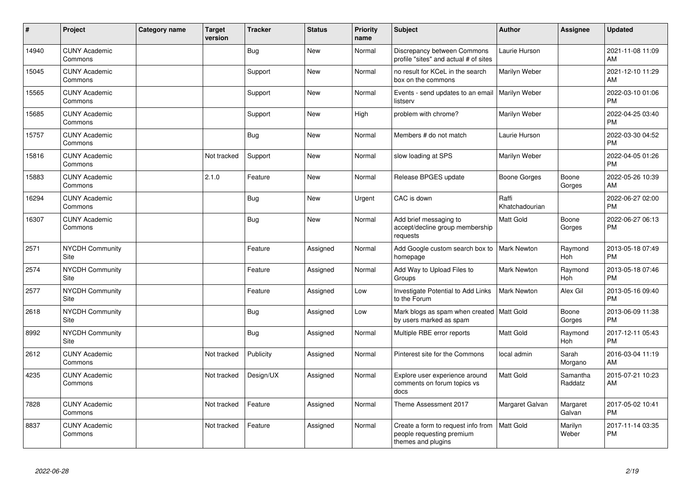| ∦     | Project                         | <b>Category name</b> | <b>Target</b><br>version | <b>Tracker</b> | <b>Status</b> | <b>Priority</b><br>name | <b>Subject</b>                                                                        | Author                  | <b>Assignee</b>       | <b>Updated</b>                |
|-------|---------------------------------|----------------------|--------------------------|----------------|---------------|-------------------------|---------------------------------------------------------------------------------------|-------------------------|-----------------------|-------------------------------|
| 14940 | <b>CUNY Academic</b><br>Commons |                      |                          | <b>Bug</b>     | New           | Normal                  | Discrepancy between Commons<br>profile "sites" and actual # of sites                  | Laurie Hurson           |                       | 2021-11-08 11:09<br>AM        |
| 15045 | <b>CUNY Academic</b><br>Commons |                      |                          | Support        | <b>New</b>    | Normal                  | no result for KCeL in the search<br>box on the commons                                | Marilyn Weber           |                       | 2021-12-10 11:29<br>AM        |
| 15565 | <b>CUNY Academic</b><br>Commons |                      |                          | Support        | <b>New</b>    | Normal                  | Events - send updates to an email<br>listserv                                         | Marilyn Weber           |                       | 2022-03-10 01:06<br><b>PM</b> |
| 15685 | <b>CUNY Academic</b><br>Commons |                      |                          | Support        | <b>New</b>    | High                    | problem with chrome?                                                                  | Marilyn Weber           |                       | 2022-04-25 03:40<br><b>PM</b> |
| 15757 | <b>CUNY Academic</b><br>Commons |                      |                          | <b>Bug</b>     | New           | Normal                  | Members # do not match                                                                | Laurie Hurson           |                       | 2022-03-30 04:52<br><b>PM</b> |
| 15816 | <b>CUNY Academic</b><br>Commons |                      | Not tracked              | Support        | <b>New</b>    | Normal                  | slow loading at SPS                                                                   | Marilyn Weber           |                       | 2022-04-05 01:26<br><b>PM</b> |
| 15883 | <b>CUNY Academic</b><br>Commons |                      | 2.1.0                    | Feature        | <b>New</b>    | Normal                  | Release BPGES update                                                                  | Boone Gorges            | Boone<br>Gorges       | 2022-05-26 10:39<br>AM        |
| 16294 | <b>CUNY Academic</b><br>Commons |                      |                          | <b>Bug</b>     | <b>New</b>    | Urgent                  | CAC is down                                                                           | Raffi<br>Khatchadourian |                       | 2022-06-27 02:00<br><b>PM</b> |
| 16307 | <b>CUNY Academic</b><br>Commons |                      |                          | <b>Bug</b>     | <b>New</b>    | Normal                  | Add brief messaging to<br>accept/decline group membership<br>requests                 | Matt Gold               | Boone<br>Gorges       | 2022-06-27 06:13<br><b>PM</b> |
| 2571  | <b>NYCDH Community</b><br>Site  |                      |                          | Feature        | Assigned      | Normal                  | Add Google custom search box to<br>homepage                                           | <b>Mark Newton</b>      | Raymond<br><b>Hoh</b> | 2013-05-18 07:49<br><b>PM</b> |
| 2574  | NYCDH Community<br>Site         |                      |                          | Feature        | Assigned      | Normal                  | Add Way to Upload Files to<br>Groups                                                  | <b>Mark Newton</b>      | Raymond<br>Hoh        | 2013-05-18 07:46<br><b>PM</b> |
| 2577  | <b>NYCDH Community</b><br>Site  |                      |                          | Feature        | Assigned      | Low                     | Investigate Potential to Add Links<br>to the Forum                                    | <b>Mark Newton</b>      | Alex Gil              | 2013-05-16 09:40<br><b>PM</b> |
| 2618  | <b>NYCDH Community</b><br>Site  |                      |                          | <b>Bug</b>     | Assigned      | Low                     | Mark blogs as spam when created   Matt Gold<br>by users marked as spam                |                         | Boone<br>Gorges       | 2013-06-09 11:38<br><b>PM</b> |
| 8992  | <b>NYCDH Community</b><br>Site  |                      |                          | <b>Bug</b>     | Assigned      | Normal                  | Multiple RBE error reports                                                            | Matt Gold               | Raymond<br>Hoh        | 2017-12-11 05:43<br><b>PM</b> |
| 2612  | <b>CUNY Academic</b><br>Commons |                      | Not tracked              | Publicity      | Assigned      | Normal                  | Pinterest site for the Commons                                                        | local admin             | Sarah<br>Morgano      | 2016-03-04 11:19<br>AM        |
| 4235  | <b>CUNY Academic</b><br>Commons |                      | Not tracked              | Design/UX      | Assigned      | Normal                  | Explore user experience around<br>comments on forum topics vs<br>docs                 | Matt Gold               | Samantha<br>Raddatz   | 2015-07-21 10:23<br>AM        |
| 7828  | <b>CUNY Academic</b><br>Commons |                      | Not tracked              | Feature        | Assigned      | Normal                  | Theme Assessment 2017                                                                 | Margaret Galvan         | Margaret<br>Galvan    | 2017-05-02 10:41<br><b>PM</b> |
| 8837  | <b>CUNY Academic</b><br>Commons |                      | Not tracked              | Feature        | Assigned      | Normal                  | Create a form to request info from<br>people requesting premium<br>themes and plugins | Matt Gold               | Marilyn<br>Weber      | 2017-11-14 03:35<br><b>PM</b> |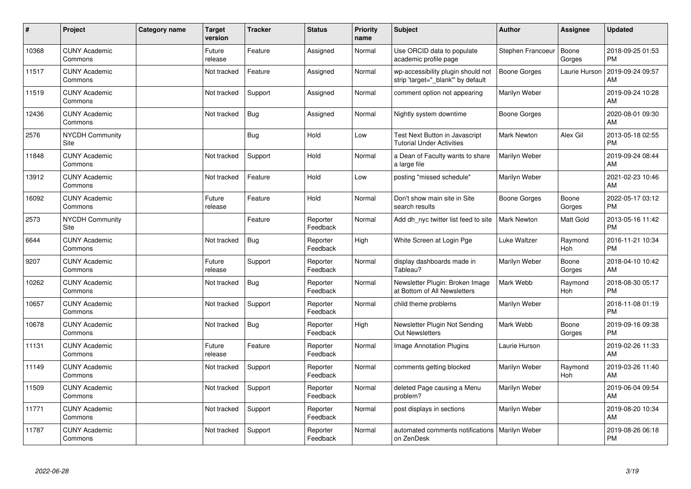| #     | Project                         | <b>Category name</b> | <b>Target</b><br>version | <b>Tracker</b> | <b>Status</b>        | <b>Priority</b><br>name | <b>Subject</b>                                                          | <b>Author</b>       | Assignee         | <b>Updated</b>                |
|-------|---------------------------------|----------------------|--------------------------|----------------|----------------------|-------------------------|-------------------------------------------------------------------------|---------------------|------------------|-------------------------------|
| 10368 | <b>CUNY Academic</b><br>Commons |                      | Future<br>release        | Feature        | Assigned             | Normal                  | Use ORCID data to populate<br>academic profile page                     | Stephen Francoeur   | Boone<br>Gorges  | 2018-09-25 01:53<br><b>PM</b> |
| 11517 | <b>CUNY Academic</b><br>Commons |                      | Not tracked              | Feature        | Assigned             | Normal                  | wp-accessibility plugin should not<br>strip 'target="_blank" by default | <b>Boone Gorges</b> | Laurie Hurson    | 2019-09-24 09:57<br>AM        |
| 11519 | <b>CUNY Academic</b><br>Commons |                      | Not tracked              | Support        | Assigned             | Normal                  | comment option not appearing                                            | Marilyn Weber       |                  | 2019-09-24 10:28<br>AM        |
| 12436 | <b>CUNY Academic</b><br>Commons |                      | Not tracked              | <b>Bug</b>     | Assigned             | Normal                  | Nightly system downtime                                                 | <b>Boone Gorges</b> |                  | 2020-08-01 09:30<br>AM        |
| 2576  | NYCDH Community<br><b>Site</b>  |                      |                          | <b>Bug</b>     | Hold                 | Low                     | Test Next Button in Javascript<br><b>Tutorial Under Activities</b>      | <b>Mark Newton</b>  | Alex Gil         | 2013-05-18 02:55<br><b>PM</b> |
| 11848 | <b>CUNY Academic</b><br>Commons |                      | Not tracked              | Support        | Hold                 | Normal                  | a Dean of Faculty wants to share<br>a large file                        | Marilyn Weber       |                  | 2019-09-24 08:44<br>AM        |
| 13912 | <b>CUNY Academic</b><br>Commons |                      | Not tracked              | Feature        | Hold                 | Low                     | posting "missed schedule"                                               | Marilyn Weber       |                  | 2021-02-23 10:46<br>AM        |
| 16092 | <b>CUNY Academic</b><br>Commons |                      | Future<br>release        | Feature        | Hold                 | Normal                  | Don't show main site in Site<br>search results                          | <b>Boone Gorges</b> | Boone<br>Gorges  | 2022-05-17 03:12<br><b>PM</b> |
| 2573  | NYCDH Community<br>Site         |                      |                          | Feature        | Reporter<br>Feedback | Normal                  | Add dh nyc twitter list feed to site                                    | <b>Mark Newton</b>  | <b>Matt Gold</b> | 2013-05-16 11:42<br><b>PM</b> |
| 6644  | <b>CUNY Academic</b><br>Commons |                      | Not tracked              | <b>Bug</b>     | Reporter<br>Feedback | High                    | White Screen at Login Pge                                               | <b>Luke Waltzer</b> | Raymond<br>Hoh   | 2016-11-21 10:34<br><b>PM</b> |
| 9207  | <b>CUNY Academic</b><br>Commons |                      | Future<br>release        | Support        | Reporter<br>Feedback | Normal                  | display dashboards made in<br>Tableau?                                  | Marilyn Weber       | Boone<br>Gorges  | 2018-04-10 10:42<br>AM        |
| 10262 | <b>CUNY Academic</b><br>Commons |                      | Not tracked              | <b>Bug</b>     | Reporter<br>Feedback | Normal                  | Newsletter Plugin: Broken Image<br>at Bottom of All Newsletters         | Mark Webb           | Raymond<br>Hoh   | 2018-08-30 05:17<br><b>PM</b> |
| 10657 | <b>CUNY Academic</b><br>Commons |                      | Not tracked              | Support        | Reporter<br>Feedback | Normal                  | child theme problems                                                    | Marilyn Weber       |                  | 2018-11-08 01:19<br><b>PM</b> |
| 10678 | <b>CUNY Academic</b><br>Commons |                      | Not tracked              | Bug            | Reporter<br>Feedback | High                    | Newsletter Plugin Not Sending<br>Out Newsletters                        | Mark Webb           | Boone<br>Gorges  | 2019-09-16 09:38<br><b>PM</b> |
| 11131 | <b>CUNY Academic</b><br>Commons |                      | Future<br>release        | Feature        | Reporter<br>Feedback | Normal                  | <b>Image Annotation Plugins</b>                                         | Laurie Hurson       |                  | 2019-02-26 11:33<br>AM        |
| 11149 | <b>CUNY Academic</b><br>Commons |                      | Not tracked              | Support        | Reporter<br>Feedback | Normal                  | comments getting blocked                                                | Marilyn Weber       | Raymond<br>Hoh   | 2019-03-26 11:40<br>AM        |
| 11509 | <b>CUNY Academic</b><br>Commons |                      | Not tracked              | Support        | Reporter<br>Feedback | Normal                  | deleted Page causing a Menu<br>problem?                                 | Marilyn Weber       |                  | 2019-06-04 09:54<br>AM        |
| 11771 | <b>CUNY Academic</b><br>Commons |                      | Not tracked              | Support        | Reporter<br>Feedback | Normal                  | post displays in sections                                               | Marilyn Weber       |                  | 2019-08-20 10:34<br>AM        |
| 11787 | <b>CUNY Academic</b><br>Commons |                      | Not tracked              | Support        | Reporter<br>Feedback | Normal                  | automated comments notifications<br>on ZenDesk                          | Marilyn Weber       |                  | 2019-08-26 06:18<br><b>PM</b> |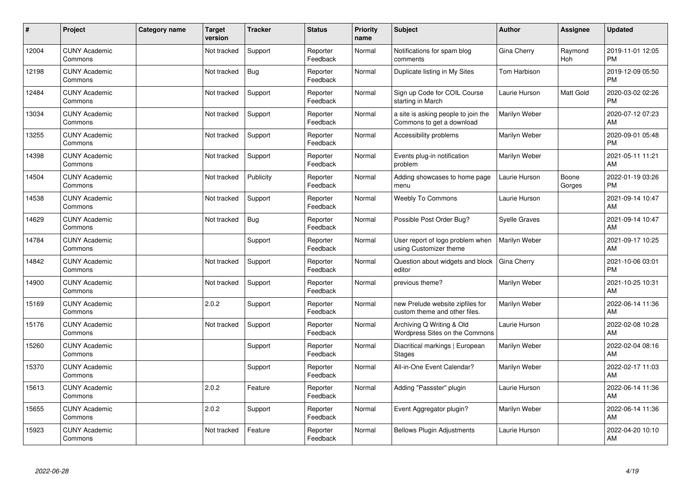| #     | Project                         | <b>Category name</b> | <b>Target</b><br>version | <b>Tracker</b> | <b>Status</b>        | <b>Priority</b><br>name | <b>Subject</b>                                                    | <b>Author</b>        | <b>Assignee</b> | <b>Updated</b>                |
|-------|---------------------------------|----------------------|--------------------------|----------------|----------------------|-------------------------|-------------------------------------------------------------------|----------------------|-----------------|-------------------------------|
| 12004 | <b>CUNY Academic</b><br>Commons |                      | Not tracked              | Support        | Reporter<br>Feedback | Normal                  | Notifications for spam blog<br>comments                           | Gina Cherry          | Raymond<br>Hoh  | 2019-11-01 12:05<br><b>PM</b> |
| 12198 | <b>CUNY Academic</b><br>Commons |                      | Not tracked              | <b>Bug</b>     | Reporter<br>Feedback | Normal                  | Duplicate listing in My Sites                                     | Tom Harbison         |                 | 2019-12-09 05:50<br><b>PM</b> |
| 12484 | <b>CUNY Academic</b><br>Commons |                      | Not tracked              | Support        | Reporter<br>Feedback | Normal                  | Sign up Code for COIL Course<br>starting in March                 | Laurie Hurson        | Matt Gold       | 2020-03-02 02:26<br><b>PM</b> |
| 13034 | <b>CUNY Academic</b><br>Commons |                      | Not tracked              | Support        | Reporter<br>Feedback | Normal                  | a site is asking people to join the<br>Commons to get a download  | Marilyn Weber        |                 | 2020-07-12 07:23<br>AM        |
| 13255 | <b>CUNY Academic</b><br>Commons |                      | Not tracked              | Support        | Reporter<br>Feedback | Normal                  | Accessibility problems                                            | Marilyn Weber        |                 | 2020-09-01 05:48<br>PM        |
| 14398 | <b>CUNY Academic</b><br>Commons |                      | Not tracked              | Support        | Reporter<br>Feedback | Normal                  | Events plug-in notification<br>problem                            | Marilyn Weber        |                 | 2021-05-11 11:21<br>AM        |
| 14504 | <b>CUNY Academic</b><br>Commons |                      | Not tracked              | Publicity      | Reporter<br>Feedback | Normal                  | Adding showcases to home page<br>menu                             | Laurie Hurson        | Boone<br>Gorges | 2022-01-19 03:26<br><b>PM</b> |
| 14538 | <b>CUNY Academic</b><br>Commons |                      | Not tracked              | Support        | Reporter<br>Feedback | Normal                  | <b>Weebly To Commons</b>                                          | Laurie Hurson        |                 | 2021-09-14 10:47<br>AM        |
| 14629 | <b>CUNY Academic</b><br>Commons |                      | Not tracked              | <b>Bug</b>     | Reporter<br>Feedback | Normal                  | Possible Post Order Bug?                                          | <b>Syelle Graves</b> |                 | 2021-09-14 10:47<br>AM        |
| 14784 | <b>CUNY Academic</b><br>Commons |                      |                          | Support        | Reporter<br>Feedback | Normal                  | User report of logo problem when<br>using Customizer theme        | Marilyn Weber        |                 | 2021-09-17 10:25<br>AM        |
| 14842 | <b>CUNY Academic</b><br>Commons |                      | Not tracked              | Support        | Reporter<br>Feedback | Normal                  | Question about widgets and block<br>editor                        | Gina Cherry          |                 | 2021-10-06 03:01<br><b>PM</b> |
| 14900 | <b>CUNY Academic</b><br>Commons |                      | Not tracked              | Support        | Reporter<br>Feedback | Normal                  | previous theme?                                                   | Marilyn Weber        |                 | 2021-10-25 10:31<br>AM        |
| 15169 | <b>CUNY Academic</b><br>Commons |                      | 2.0.2                    | Support        | Reporter<br>Feedback | Normal                  | new Prelude website zipfiles for<br>custom theme and other files. | Marilyn Weber        |                 | 2022-06-14 11:36<br>AM        |
| 15176 | <b>CUNY Academic</b><br>Commons |                      | Not tracked              | Support        | Reporter<br>Feedback | Normal                  | Archiving Q Writing & Old<br>Wordpress Sites on the Commons       | Laurie Hurson        |                 | 2022-02-08 10:28<br>AM        |
| 15260 | <b>CUNY Academic</b><br>Commons |                      |                          | Support        | Reporter<br>Feedback | Normal                  | Diacritical markings   European<br><b>Stages</b>                  | Marilyn Weber        |                 | 2022-02-04 08:16<br>AM        |
| 15370 | <b>CUNY Academic</b><br>Commons |                      |                          | Support        | Reporter<br>Feedback | Normal                  | All-in-One Event Calendar?                                        | Marilyn Weber        |                 | 2022-02-17 11:03<br>AM        |
| 15613 | <b>CUNY Academic</b><br>Commons |                      | 2.0.2                    | Feature        | Reporter<br>Feedback | Normal                  | Adding "Passster" plugin                                          | Laurie Hurson        |                 | 2022-06-14 11:36<br>AM        |
| 15655 | <b>CUNY Academic</b><br>Commons |                      | 2.0.2                    | Support        | Reporter<br>Feedback | Normal                  | Event Aggregator plugin?                                          | Marilyn Weber        |                 | 2022-06-14 11:36<br>AM        |
| 15923 | <b>CUNY Academic</b><br>Commons |                      | Not tracked              | Feature        | Reporter<br>Feedback | Normal                  | <b>Bellows Plugin Adjustments</b>                                 | Laurie Hurson        |                 | 2022-04-20 10:10<br>AM        |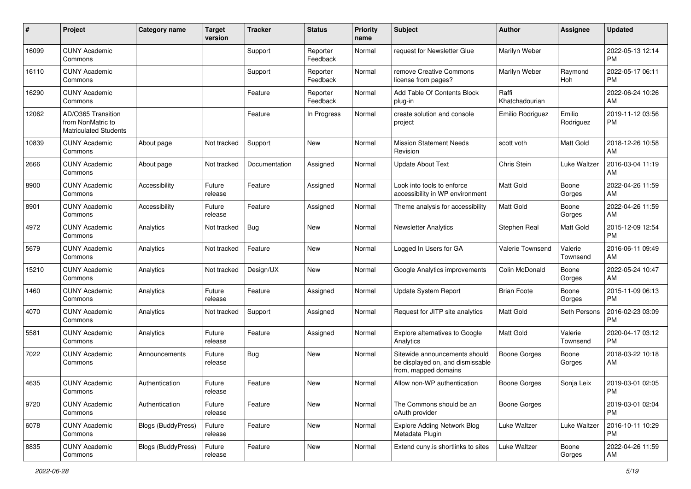| #     | Project                                                                 | <b>Category name</b> | <b>Target</b><br>version | <b>Tracker</b> | <b>Status</b>        | <b>Priority</b><br>name | Subject                                                                                   | <b>Author</b>           | <b>Assignee</b>     | <b>Updated</b>                |
|-------|-------------------------------------------------------------------------|----------------------|--------------------------|----------------|----------------------|-------------------------|-------------------------------------------------------------------------------------------|-------------------------|---------------------|-------------------------------|
| 16099 | <b>CUNY Academic</b><br>Commons                                         |                      |                          | Support        | Reporter<br>Feedback | Normal                  | request for Newsletter Glue                                                               | Marilyn Weber           |                     | 2022-05-13 12:14<br><b>PM</b> |
| 16110 | <b>CUNY Academic</b><br>Commons                                         |                      |                          | Support        | Reporter<br>Feedback | Normal                  | remove Creative Commons<br>license from pages?                                            | Marilyn Weber           | Raymond<br>Hoh      | 2022-05-17 06:11<br><b>PM</b> |
| 16290 | <b>CUNY Academic</b><br>Commons                                         |                      |                          | Feature        | Reporter<br>Feedback | Normal                  | Add Table Of Contents Block<br>plug-in                                                    | Raffi<br>Khatchadourian |                     | 2022-06-24 10:26<br>AM        |
| 12062 | AD/O365 Transition<br>from NonMatric to<br><b>Matriculated Students</b> |                      |                          | Feature        | In Progress          | Normal                  | create solution and console<br>project                                                    | Emilio Rodriguez        | Emilio<br>Rodriguez | 2019-11-12 03:56<br><b>PM</b> |
| 10839 | <b>CUNY Academic</b><br>Commons                                         | About page           | Not tracked              | Support        | New                  | Normal                  | <b>Mission Statement Needs</b><br>Revision                                                | scott voth              | Matt Gold           | 2018-12-26 10:58<br>AM        |
| 2666  | <b>CUNY Academic</b><br>Commons                                         | About page           | Not tracked              | Documentation  | Assigned             | Normal                  | Update About Text                                                                         | Chris Stein             | Luke Waltzer        | 2016-03-04 11:19<br>AM        |
| 8900  | <b>CUNY Academic</b><br>Commons                                         | Accessibility        | Future<br>release        | Feature        | Assigned             | Normal                  | Look into tools to enforce<br>accessibility in WP environment                             | <b>Matt Gold</b>        | Boone<br>Gorges     | 2022-04-26 11:59<br>AM        |
| 8901  | <b>CUNY Academic</b><br>Commons                                         | Accessibility        | Future<br>release        | Feature        | Assigned             | Normal                  | Theme analysis for accessibility                                                          | <b>Matt Gold</b>        | Boone<br>Gorges     | 2022-04-26 11:59<br>AM        |
| 4972  | <b>CUNY Academic</b><br>Commons                                         | Analytics            | Not tracked              | <b>Bug</b>     | <b>New</b>           | Normal                  | <b>Newsletter Analytics</b>                                                               | Stephen Real            | <b>Matt Gold</b>    | 2015-12-09 12:54<br><b>PM</b> |
| 5679  | <b>CUNY Academic</b><br>Commons                                         | Analytics            | Not tracked              | Feature        | <b>New</b>           | Normal                  | Logged In Users for GA                                                                    | Valerie Townsend        | Valerie<br>Townsend | 2016-06-11 09:49<br>AM        |
| 15210 | <b>CUNY Academic</b><br>Commons                                         | Analytics            | Not tracked              | Design/UX      | <b>New</b>           | Normal                  | Google Analytics improvements                                                             | Colin McDonald          | Boone<br>Gorges     | 2022-05-24 10:47<br>AM        |
| 1460  | <b>CUNY Academic</b><br>Commons                                         | Analytics            | Future<br>release        | Feature        | Assigned             | Normal                  | Update System Report                                                                      | <b>Brian Foote</b>      | Boone<br>Gorges     | 2015-11-09 06:13<br><b>PM</b> |
| 4070  | <b>CUNY Academic</b><br>Commons                                         | Analytics            | Not tracked              | Support        | Assigned             | Normal                  | Request for JITP site analytics                                                           | <b>Matt Gold</b>        | Seth Persons        | 2016-02-23 03:09<br><b>PM</b> |
| 5581  | <b>CUNY Academic</b><br>Commons                                         | Analytics            | Future<br>release        | Feature        | Assigned             | Normal                  | Explore alternatives to Google<br>Analytics                                               | Matt Gold               | Valerie<br>Townsend | 2020-04-17 03:12<br>PM        |
| 7022  | <b>CUNY Academic</b><br>Commons                                         | Announcements        | Future<br>release        | Bug            | New                  | Normal                  | Sitewide announcements should<br>be displayed on, and dismissable<br>from, mapped domains | <b>Boone Gorges</b>     | Boone<br>Gorges     | 2018-03-22 10:18<br>AM        |
| 4635  | <b>CUNY Academic</b><br>Commons                                         | Authentication       | Future<br>release        | Feature        | New                  | Normal                  | Allow non-WP authentication                                                               | <b>Boone Gorges</b>     | Sonja Leix          | 2019-03-01 02:05<br>PM        |
| 9720  | <b>CUNY Academic</b><br>Commons                                         | Authentication       | Future<br>release        | Feature        | New                  | Normal                  | The Commons should be an<br>oAuth provider                                                | Boone Gorges            |                     | 2019-03-01 02:04<br>PM        |
| 6078  | <b>CUNY Academic</b><br>Commons                                         | Blogs (BuddyPress)   | Future<br>release        | Feature        | New                  | Normal                  | <b>Explore Adding Network Blog</b><br>Metadata Plugin                                     | Luke Waltzer            | Luke Waltzer        | 2016-10-11 10:29<br>PM        |
| 8835  | <b>CUNY Academic</b><br>Commons                                         | Blogs (BuddyPress)   | Future<br>release        | Feature        | New                  | Normal                  | Extend cuny.is shortlinks to sites                                                        | Luke Waltzer            | Boone<br>Gorges     | 2022-04-26 11:59<br>AM        |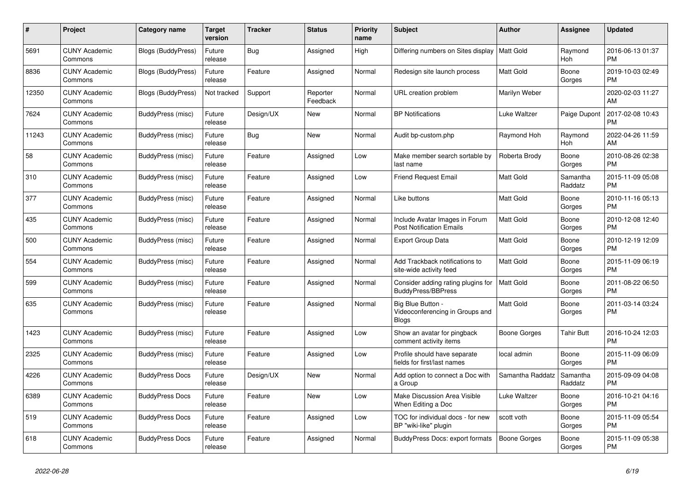| #     | Project                         | Category name          | Target<br>version | <b>Tracker</b> | <b>Status</b>        | <b>Priority</b><br>name | <b>Subject</b>                                                       | <b>Author</b>    | <b>Assignee</b>     | <b>Updated</b>                |
|-------|---------------------------------|------------------------|-------------------|----------------|----------------------|-------------------------|----------------------------------------------------------------------|------------------|---------------------|-------------------------------|
| 5691  | <b>CUNY Academic</b><br>Commons | Blogs (BuddyPress)     | Future<br>release | <b>Bug</b>     | Assigned             | High                    | Differing numbers on Sites display   Matt Gold                       |                  | Raymond<br>Hoh      | 2016-06-13 01:37<br><b>PM</b> |
| 8836  | <b>CUNY Academic</b><br>Commons | Blogs (BuddyPress)     | Future<br>release | Feature        | Assigned             | Normal                  | Redesign site launch process                                         | <b>Matt Gold</b> | Boone<br>Gorges     | 2019-10-03 02:49<br><b>PM</b> |
| 12350 | <b>CUNY Academic</b><br>Commons | Blogs (BuddyPress)     | Not tracked       | Support        | Reporter<br>Feedback | Normal                  | URL creation problem                                                 | Marilyn Weber    |                     | 2020-02-03 11:27<br>AM        |
| 7624  | <b>CUNY Academic</b><br>Commons | BuddyPress (misc)      | Future<br>release | Design/UX      | <b>New</b>           | Normal                  | <b>BP Notifications</b>                                              | Luke Waltzer     | Paige Dupont        | 2017-02-08 10:43<br><b>PM</b> |
| 11243 | <b>CUNY Academic</b><br>Commons | BuddyPress (misc)      | Future<br>release | Bug            | <b>New</b>           | Normal                  | Audit bp-custom.php                                                  | Raymond Hoh      | Raymond<br>Hoh      | 2022-04-26 11:59<br>AM        |
| 58    | <b>CUNY Academic</b><br>Commons | BuddyPress (misc)      | Future<br>release | Feature        | Assigned             | Low                     | Make member search sortable by<br>last name                          | Roberta Brody    | Boone<br>Gorges     | 2010-08-26 02:38<br><b>PM</b> |
| 310   | <b>CUNY Academic</b><br>Commons | BuddyPress (misc)      | Future<br>release | Feature        | Assigned             | Low                     | <b>Friend Request Email</b>                                          | <b>Matt Gold</b> | Samantha<br>Raddatz | 2015-11-09 05:08<br><b>PM</b> |
| 377   | <b>CUNY Academic</b><br>Commons | BuddyPress (misc)      | Future<br>release | Feature        | Assigned             | Normal                  | Like buttons                                                         | <b>Matt Gold</b> | Boone<br>Gorges     | 2010-11-16 05:13<br><b>PM</b> |
| 435   | <b>CUNY Academic</b><br>Commons | BuddyPress (misc)      | Future<br>release | Feature        | Assigned             | Normal                  | Include Avatar Images in Forum<br><b>Post Notification Emails</b>    | <b>Matt Gold</b> | Boone<br>Gorges     | 2010-12-08 12:40<br><b>PM</b> |
| 500   | <b>CUNY Academic</b><br>Commons | BuddyPress (misc)      | Future<br>release | Feature        | Assigned             | Normal                  | <b>Export Group Data</b>                                             | <b>Matt Gold</b> | Boone<br>Gorges     | 2010-12-19 12:09<br><b>PM</b> |
| 554   | <b>CUNY Academic</b><br>Commons | BuddyPress (misc)      | Future<br>release | Feature        | Assigned             | Normal                  | Add Trackback notifications to<br>site-wide activity feed            | <b>Matt Gold</b> | Boone<br>Gorges     | 2015-11-09 06:19<br><b>PM</b> |
| 599   | <b>CUNY Academic</b><br>Commons | BuddyPress (misc)      | Future<br>release | Feature        | Assigned             | Normal                  | Consider adding rating plugins for<br><b>BuddyPress/BBPress</b>      | <b>Matt Gold</b> | Boone<br>Gorges     | 2011-08-22 06:50<br><b>PM</b> |
| 635   | <b>CUNY Academic</b><br>Commons | BuddyPress (misc)      | Future<br>release | Feature        | Assigned             | Normal                  | Big Blue Button -<br>Videoconferencing in Groups and<br><b>Blogs</b> | <b>Matt Gold</b> | Boone<br>Gorges     | 2011-03-14 03:24<br><b>PM</b> |
| 1423  | <b>CUNY Academic</b><br>Commons | BuddyPress (misc)      | Future<br>release | Feature        | Assigned             | Low                     | Show an avatar for pingback<br>comment activity items                | Boone Gorges     | <b>Tahir Butt</b>   | 2016-10-24 12:03<br><b>PM</b> |
| 2325  | <b>CUNY Academic</b><br>Commons | BuddyPress (misc)      | Future<br>release | Feature        | Assigned             | Low                     | Profile should have separate<br>fields for first/last names          | local admin      | Boone<br>Gorges     | 2015-11-09 06:09<br><b>PM</b> |
| 4226  | <b>CUNY Academic</b><br>Commons | <b>BuddyPress Docs</b> | Future<br>release | Design/UX      | <b>New</b>           | Normal                  | Add option to connect a Doc with<br>a Group                          | Samantha Raddatz | Samantha<br>Raddatz | 2015-09-09 04:08<br><b>PM</b> |
| 6389  | <b>CUNY Academic</b><br>Commons | <b>BuddyPress Docs</b> | Future<br>release | Feature        | <b>New</b>           | Low                     | Make Discussion Area Visible<br>When Editing a Doc                   | Luke Waltzer     | Boone<br>Gorges     | 2016-10-21 04:16<br><b>PM</b> |
| 519   | <b>CUNY Academic</b><br>Commons | <b>BuddyPress Docs</b> | Future<br>release | Feature        | Assigned             | Low                     | TOC for individual docs - for new<br>BP "wiki-like" plugin           | scott voth       | Boone<br>Gorges     | 2015-11-09 05:54<br><b>PM</b> |
| 618   | <b>CUNY Academic</b><br>Commons | <b>BuddyPress Docs</b> | Future<br>release | Feature        | Assigned             | Normal                  | BuddyPress Docs: export formats                                      | Boone Gorges     | Boone<br>Gorges     | 2015-11-09 05:38<br><b>PM</b> |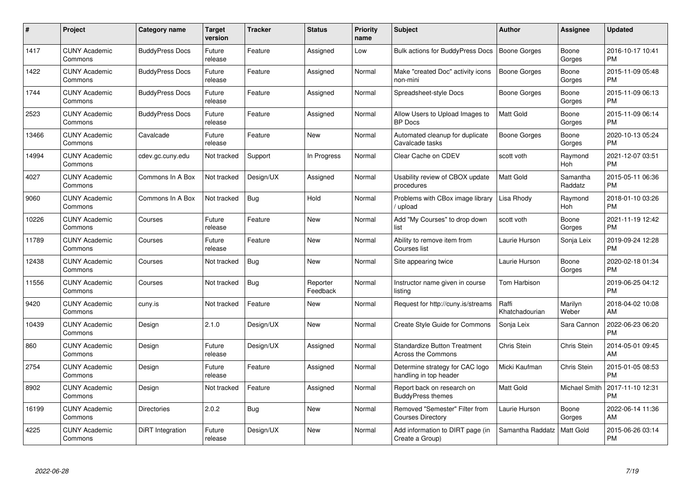| #     | Project                         | Category name          | <b>Target</b><br>version | <b>Tracker</b> | <b>Status</b>        | <b>Priority</b><br>name | <b>Subject</b>                                             | <b>Author</b>           | <b>Assignee</b>      | <b>Updated</b>                |
|-------|---------------------------------|------------------------|--------------------------|----------------|----------------------|-------------------------|------------------------------------------------------------|-------------------------|----------------------|-------------------------------|
| 1417  | <b>CUNY Academic</b><br>Commons | <b>BuddyPress Docs</b> | Future<br>release        | Feature        | Assigned             | Low                     | <b>Bulk actions for BuddyPress Docs</b>                    | <b>Boone Gorges</b>     | Boone<br>Gorges      | 2016-10-17 10:41<br><b>PM</b> |
| 1422  | <b>CUNY Academic</b><br>Commons | <b>BuddyPress Docs</b> | Future<br>release        | Feature        | Assigned             | Normal                  | Make "created Doc" activity icons<br>non-mini              | <b>Boone Gorges</b>     | Boone<br>Gorges      | 2015-11-09 05:48<br><b>PM</b> |
| 1744  | <b>CUNY Academic</b><br>Commons | <b>BuddyPress Docs</b> | Future<br>release        | Feature        | Assigned             | Normal                  | Spreadsheet-style Docs                                     | Boone Gorges            | Boone<br>Gorges      | 2015-11-09 06:13<br><b>PM</b> |
| 2523  | <b>CUNY Academic</b><br>Commons | <b>BuddyPress Docs</b> | Future<br>release        | Feature        | Assigned             | Normal                  | Allow Users to Upload Images to<br><b>BP</b> Docs          | <b>Matt Gold</b>        | Boone<br>Gorges      | 2015-11-09 06:14<br><b>PM</b> |
| 13466 | <b>CUNY Academic</b><br>Commons | Cavalcade              | Future<br>release        | Feature        | <b>New</b>           | Normal                  | Automated cleanup for duplicate<br>Cavalcade tasks         | Boone Gorges            | Boone<br>Gorges      | 2020-10-13 05:24<br><b>PM</b> |
| 14994 | <b>CUNY Academic</b><br>Commons | cdev.gc.cuny.edu       | Not tracked              | Support        | In Progress          | Normal                  | Clear Cache on CDEV                                        | scott voth              | Raymond<br>Hoh       | 2021-12-07 03:51<br><b>PM</b> |
| 4027  | <b>CUNY Academic</b><br>Commons | Commons In A Box       | Not tracked              | Design/UX      | Assigned             | Normal                  | Usability review of CBOX update<br>procedures              | Matt Gold               | Samantha<br>Raddatz  | 2015-05-11 06:36<br><b>PM</b> |
| 9060  | <b>CUNY Academic</b><br>Commons | Commons In A Box       | Not tracked              | <b>Bug</b>     | Hold                 | Normal                  | Problems with CBox image library<br>upload                 | Lisa Rhody              | Raymond<br>Hoh       | 2018-01-10 03:26<br><b>PM</b> |
| 10226 | <b>CUNY Academic</b><br>Commons | Courses                | Future<br>release        | Feature        | <b>New</b>           | Normal                  | Add "My Courses" to drop down<br>list                      | scott voth              | Boone<br>Gorges      | 2021-11-19 12:42<br><b>PM</b> |
| 11789 | <b>CUNY Academic</b><br>Commons | Courses                | Future<br>release        | Feature        | <b>New</b>           | Normal                  | Ability to remove item from<br>Courses list                | Laurie Hurson           | Sonja Leix           | 2019-09-24 12:28<br><b>PM</b> |
| 12438 | <b>CUNY Academic</b><br>Commons | Courses                | Not tracked              | <b>Bug</b>     | <b>New</b>           | Normal                  | Site appearing twice                                       | Laurie Hurson           | Boone<br>Gorges      | 2020-02-18 01:34<br><b>PM</b> |
| 11556 | <b>CUNY Academic</b><br>Commons | Courses                | Not tracked              | Bug            | Reporter<br>Feedback | Normal                  | Instructor name given in course<br>listing                 | Tom Harbison            |                      | 2019-06-25 04:12<br><b>PM</b> |
| 9420  | <b>CUNY Academic</b><br>Commons | cuny.is                | Not tracked              | Feature        | <b>New</b>           | Normal                  | Request for http://cuny.is/streams                         | Raffi<br>Khatchadourian | Marilyn<br>Weber     | 2018-04-02 10:08<br>AM        |
| 10439 | <b>CUNY Academic</b><br>Commons | Design                 | 2.1.0                    | Design/UX      | <b>New</b>           | Normal                  | Create Style Guide for Commons                             | Sonja Leix              | Sara Cannon          | 2022-06-23 06:20<br><b>PM</b> |
| 860   | <b>CUNY Academic</b><br>Commons | Design                 | Future<br>release        | Design/UX      | Assigned             | Normal                  | <b>Standardize Button Treatment</b><br>Across the Commons  | Chris Stein             | Chris Stein          | 2014-05-01 09:45<br>AM        |
| 2754  | <b>CUNY Academic</b><br>Commons | Design                 | Future<br>release        | Feature        | Assigned             | Normal                  | Determine strategy for CAC logo<br>handling in top header  | Micki Kaufman           | Chris Stein          | 2015-01-05 08:53<br><b>PM</b> |
| 8902  | <b>CUNY Academic</b><br>Commons | Design                 | Not tracked              | Feature        | Assigned             | Normal                  | Report back on research on<br><b>BuddyPress themes</b>     | <b>Matt Gold</b>        | <b>Michael Smith</b> | 2017-11-10 12:31<br><b>PM</b> |
| 16199 | <b>CUNY Academic</b><br>Commons | <b>Directories</b>     | 2.0.2                    | Bug            | <b>New</b>           | Normal                  | Removed "Semester" Filter from<br><b>Courses Directory</b> | Laurie Hurson           | Boone<br>Gorges      | 2022-06-14 11:36<br>AM        |
| 4225  | <b>CUNY Academic</b><br>Commons | DiRT Integration       | Future<br>release        | Design/UX      | <b>New</b>           | Normal                  | Add information to DIRT page (in<br>Create a Group)        | Samantha Raddatz        | <b>Matt Gold</b>     | 2015-06-26 03:14<br><b>PM</b> |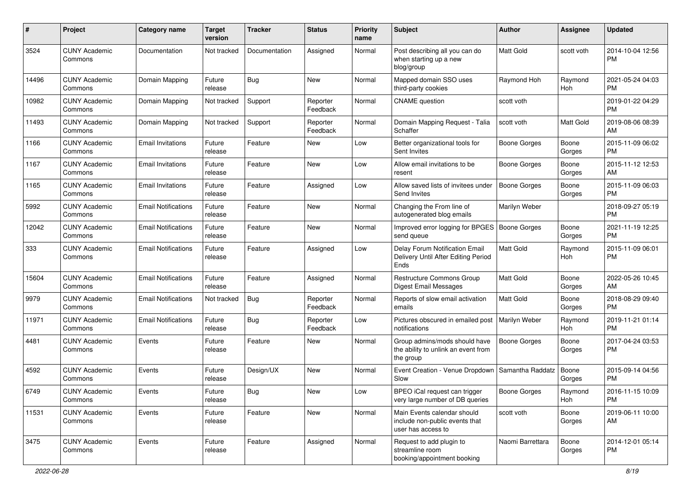| #     | Project                         | <b>Category name</b>       | <b>Target</b><br>version | <b>Tracker</b> | <b>Status</b>        | <b>Priority</b><br>name | Subject                                                                             | Author              | <b>Assignee</b>  | <b>Updated</b>                |
|-------|---------------------------------|----------------------------|--------------------------|----------------|----------------------|-------------------------|-------------------------------------------------------------------------------------|---------------------|------------------|-------------------------------|
| 3524  | <b>CUNY Academic</b><br>Commons | Documentation              | Not tracked              | Documentation  | Assigned             | Normal                  | Post describing all you can do<br>when starting up a new<br>blog/group              | Matt Gold           | scott voth       | 2014-10-04 12:56<br><b>PM</b> |
| 14496 | <b>CUNY Academic</b><br>Commons | Domain Mapping             | Future<br>release        | Bug            | New                  | Normal                  | Mapped domain SSO uses<br>third-party cookies                                       | Raymond Hoh         | Raymond<br>Hoh   | 2021-05-24 04:03<br><b>PM</b> |
| 10982 | <b>CUNY Academic</b><br>Commons | Domain Mapping             | Not tracked              | Support        | Reporter<br>Feedback | Normal                  | <b>CNAME</b> question                                                               | scott voth          |                  | 2019-01-22 04:29<br><b>PM</b> |
| 11493 | <b>CUNY Academic</b><br>Commons | Domain Mapping             | Not tracked              | Support        | Reporter<br>Feedback | Normal                  | Domain Mapping Request - Talia<br>Schaffer                                          | scott voth          | <b>Matt Gold</b> | 2019-08-06 08:39<br>AM        |
| 1166  | <b>CUNY Academic</b><br>Commons | <b>Email Invitations</b>   | Future<br>release        | Feature        | New                  | Low                     | Better organizational tools for<br>Sent Invites                                     | Boone Gorges        | Boone<br>Gorges  | 2015-11-09 06:02<br><b>PM</b> |
| 1167  | <b>CUNY Academic</b><br>Commons | <b>Email Invitations</b>   | Future<br>release        | Feature        | New                  | Low                     | Allow email invitations to be<br>resent                                             | Boone Gorges        | Boone<br>Gorges  | 2015-11-12 12:53<br>AM        |
| 1165  | <b>CUNY Academic</b><br>Commons | <b>Email Invitations</b>   | Future<br>release        | Feature        | Assigned             | Low                     | Allow saved lists of invitees under<br>Send Invites                                 | <b>Boone Gorges</b> | Boone<br>Gorges  | 2015-11-09 06:03<br><b>PM</b> |
| 5992  | <b>CUNY Academic</b><br>Commons | <b>Email Notifications</b> | Future<br>release        | Feature        | <b>New</b>           | Normal                  | Changing the From line of<br>autogenerated blog emails                              | Marilyn Weber       |                  | 2018-09-27 05:19<br><b>PM</b> |
| 12042 | <b>CUNY Academic</b><br>Commons | <b>Email Notifications</b> | Future<br>release        | Feature        | <b>New</b>           | Normal                  | Improved error logging for BPGES   Boone Gorges<br>send queue                       |                     | Boone<br>Gorges  | 2021-11-19 12:25<br><b>PM</b> |
| 333   | <b>CUNY Academic</b><br>Commons | <b>Email Notifications</b> | Future<br>release        | Feature        | Assigned             | Low                     | Delay Forum Notification Email<br>Delivery Until After Editing Period<br>Ends       | Matt Gold           | Raymond<br>Hoh   | 2015-11-09 06:01<br><b>PM</b> |
| 15604 | <b>CUNY Academic</b><br>Commons | <b>Email Notifications</b> | Future<br>release        | Feature        | Assigned             | Normal                  | Restructure Commons Group<br>Digest Email Messages                                  | <b>Matt Gold</b>    | Boone<br>Gorges  | 2022-05-26 10:45<br>AM        |
| 9979  | <b>CUNY Academic</b><br>Commons | <b>Email Notifications</b> | Not tracked              | Bug            | Reporter<br>Feedback | Normal                  | Reports of slow email activation<br>emails                                          | <b>Matt Gold</b>    | Boone<br>Gorges  | 2018-08-29 09:40<br><b>PM</b> |
| 11971 | <b>CUNY Academic</b><br>Commons | <b>Email Notifications</b> | Future<br>release        | Bug            | Reporter<br>Feedback | Low                     | Pictures obscured in emailed post<br>notifications                                  | Marilyn Weber       | Raymond<br>Hoh   | 2019-11-21 01:14<br><b>PM</b> |
| 4481  | <b>CUNY Academic</b><br>Commons | Events                     | Future<br>release        | Feature        | New                  | Normal                  | Group admins/mods should have<br>the ability to unlink an event from<br>the group   | <b>Boone Gorges</b> | Boone<br>Gorges  | 2017-04-24 03:53<br><b>PM</b> |
| 4592  | <b>CUNY Academic</b><br>Commons | Events                     | Future<br>release        | Design/UX      | <b>New</b>           | Normal                  | Event Creation - Venue Dropdown<br>Slow                                             | Samantha Raddatz    | Boone<br>Gorges  | 2015-09-14 04:56<br>PM        |
| 6749  | <b>CUNY Academic</b><br>Commons | Events                     | Future<br>release        | <b>Bug</b>     | New                  | Low                     | BPEO iCal request can trigger<br>very large number of DB queries                    | <b>Boone Gorges</b> | Raymond<br>Hoh   | 2016-11-15 10:09<br><b>PM</b> |
| 11531 | <b>CUNY Academic</b><br>Commons | Events                     | Future<br>release        | Feature        | New                  | Normal                  | Main Events calendar should<br>include non-public events that<br>user has access to | scott voth          | Boone<br>Gorges  | 2019-06-11 10:00<br>AM        |
| 3475  | <b>CUNY Academic</b><br>Commons | Events                     | Future<br>release        | Feature        | Assigned             | Normal                  | Request to add plugin to<br>streamline room<br>booking/appointment booking          | Naomi Barrettara    | Boone<br>Gorges  | 2014-12-01 05:14<br><b>PM</b> |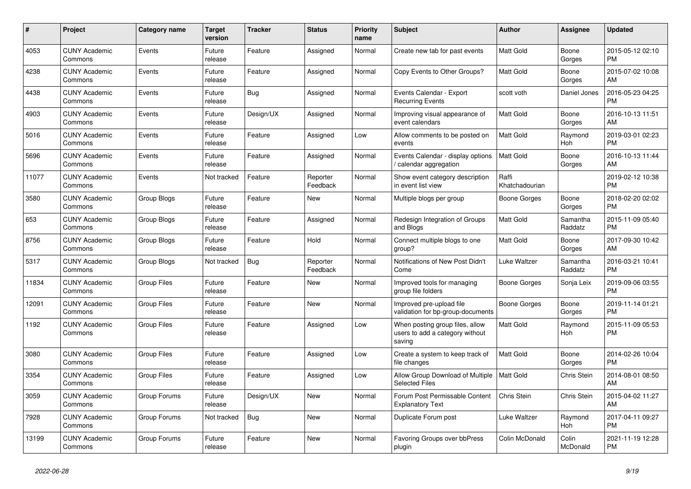| #     | <b>Project</b>                  | Category name      | Target<br>version | <b>Tracker</b> | <b>Status</b>        | <b>Priority</b><br>name | <b>Subject</b>                                                               | <b>Author</b>           | Assignee            | <b>Updated</b>                |
|-------|---------------------------------|--------------------|-------------------|----------------|----------------------|-------------------------|------------------------------------------------------------------------------|-------------------------|---------------------|-------------------------------|
| 4053  | <b>CUNY Academic</b><br>Commons | Events             | Future<br>release | Feature        | Assigned             | Normal                  | Create new tab for past events                                               | <b>Matt Gold</b>        | Boone<br>Gorges     | 2015-05-12 02:10<br><b>PM</b> |
| 4238  | <b>CUNY Academic</b><br>Commons | Events             | Future<br>release | Feature        | Assigned             | Normal                  | Copy Events to Other Groups?                                                 | <b>Matt Gold</b>        | Boone<br>Gorges     | 2015-07-02 10:08<br>AM        |
| 4438  | <b>CUNY Academic</b><br>Commons | Events             | Future<br>release | <b>Bug</b>     | Assigned             | Normal                  | Events Calendar - Export<br><b>Recurring Events</b>                          | scott voth              | Daniel Jones        | 2016-05-23 04:25<br><b>PM</b> |
| 4903  | <b>CUNY Academic</b><br>Commons | Events             | Future<br>release | Design/UX      | Assigned             | Normal                  | Improving visual appearance of<br>event calendars                            | <b>Matt Gold</b>        | Boone<br>Gorges     | 2016-10-13 11:51<br>AM        |
| 5016  | <b>CUNY Academic</b><br>Commons | Events             | Future<br>release | Feature        | Assigned             | Low                     | Allow comments to be posted on<br>events                                     | Matt Gold               | Raymond<br>Hoh      | 2019-03-01 02:23<br><b>PM</b> |
| 5696  | <b>CUNY Academic</b><br>Commons | Events             | Future<br>release | Feature        | Assigned             | Normal                  | Events Calendar - display options<br>calendar aggregation                    | Matt Gold               | Boone<br>Gorges     | 2016-10-13 11:44<br>AM        |
| 11077 | <b>CUNY Academic</b><br>Commons | Events             | Not tracked       | Feature        | Reporter<br>Feedback | Normal                  | Show event category description<br>in event list view                        | Raffi<br>Khatchadourian |                     | 2019-02-12 10:38<br><b>PM</b> |
| 3580  | <b>CUNY Academic</b><br>Commons | Group Blogs        | Future<br>release | Feature        | <b>New</b>           | Normal                  | Multiple blogs per group                                                     | <b>Boone Gorges</b>     | Boone<br>Gorges     | 2018-02-20 02:02<br><b>PM</b> |
| 653   | <b>CUNY Academic</b><br>Commons | Group Blogs        | Future<br>release | Feature        | Assigned             | Normal                  | Redesign Integration of Groups<br>and Blogs                                  | <b>Matt Gold</b>        | Samantha<br>Raddatz | 2015-11-09 05:40<br><b>PM</b> |
| 8756  | <b>CUNY Academic</b><br>Commons | Group Blogs        | Future<br>release | Feature        | Hold                 | Normal                  | Connect multiple blogs to one<br>group?                                      | Matt Gold               | Boone<br>Gorges     | 2017-09-30 10:42<br>AM        |
| 5317  | <b>CUNY Academic</b><br>Commons | Group Blogs        | Not tracked       | <b>Bug</b>     | Reporter<br>Feedback | Normal                  | Notifications of New Post Didn't<br>Come                                     | Luke Waltzer            | Samantha<br>Raddatz | 2016-03-21 10:41<br><b>PM</b> |
| 11834 | <b>CUNY Academic</b><br>Commons | <b>Group Files</b> | Future<br>release | Feature        | New                  | Normal                  | Improved tools for managing<br>group file folders                            | Boone Gorges            | Sonja Leix          | 2019-09-06 03:55<br><b>PM</b> |
| 12091 | <b>CUNY Academic</b><br>Commons | <b>Group Files</b> | Future<br>release | Feature        | <b>New</b>           | Normal                  | Improved pre-upload file<br>validation for bp-group-documents                | Boone Gorges            | Boone<br>Gorges     | 2019-11-14 01:21<br><b>PM</b> |
| 1192  | <b>CUNY Academic</b><br>Commons | Group Files        | Future<br>release | Feature        | Assigned             | Low                     | When posting group files, allow<br>users to add a category without<br>saving | <b>Matt Gold</b>        | Raymond<br>Hoh      | 2015-11-09 05:53<br><b>PM</b> |
| 3080  | <b>CUNY Academic</b><br>Commons | <b>Group Files</b> | Future<br>release | Feature        | Assigned             | Low                     | Create a system to keep track of<br>file changes                             | <b>Matt Gold</b>        | Boone<br>Gorges     | 2014-02-26 10:04<br><b>PM</b> |
| 3354  | <b>CUNY Academic</b><br>Commons | <b>Group Files</b> | Future<br>release | Feature        | Assigned             | Low                     | Allow Group Download of Multiple<br><b>Selected Files</b>                    | <b>Matt Gold</b>        | Chris Stein         | 2014-08-01 08:50<br>AM        |
| 3059  | <b>CUNY Academic</b><br>Commons | Group Forums       | Future<br>release | Design/UX      | <b>New</b>           | Normal                  | Forum Post Permissable Content<br><b>Explanatory Text</b>                    | Chris Stein             | Chris Stein         | 2015-04-02 11:27<br>AM        |
| 7928  | <b>CUNY Academic</b><br>Commons | Group Forums       | Not tracked       | Bug            | <b>New</b>           | Normal                  | Duplicate Forum post                                                         | Luke Waltzer            | Raymond<br>Hoh      | 2017-04-11 09:27<br><b>PM</b> |
| 13199 | <b>CUNY Academic</b><br>Commons | Group Forums       | Future<br>release | Feature        | New                  | Normal                  | Favoring Groups over bbPress<br>plugin                                       | Colin McDonald          | Colin<br>McDonald   | 2021-11-19 12:28<br><b>PM</b> |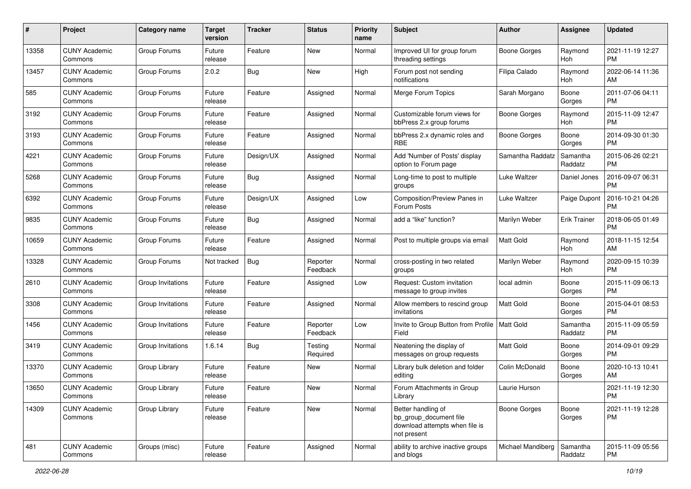| #     | Project                         | Category name     | <b>Target</b><br>version | <b>Tracker</b> | <b>Status</b>        | <b>Priority</b><br>name | Subject                                                                                       | Author              | <b>Assignee</b>     | <b>Updated</b>                |
|-------|---------------------------------|-------------------|--------------------------|----------------|----------------------|-------------------------|-----------------------------------------------------------------------------------------------|---------------------|---------------------|-------------------------------|
| 13358 | <b>CUNY Academic</b><br>Commons | Group Forums      | Future<br>release        | Feature        | <b>New</b>           | Normal                  | Improved UI for group forum<br>threading settings                                             | <b>Boone Gorges</b> | Raymond<br>Hoh      | 2021-11-19 12:27<br><b>PM</b> |
| 13457 | <b>CUNY Academic</b><br>Commons | Group Forums      | 2.0.2                    | <b>Bug</b>     | New                  | High                    | Forum post not sending<br>notifications                                                       | Filipa Calado       | Raymond<br>Hoh      | 2022-06-14 11:36<br>AM        |
| 585   | <b>CUNY Academic</b><br>Commons | Group Forums      | Future<br>release        | Feature        | Assigned             | Normal                  | Merge Forum Topics                                                                            | Sarah Morgano       | Boone<br>Gorges     | 2011-07-06 04:11<br><b>PM</b> |
| 3192  | <b>CUNY Academic</b><br>Commons | Group Forums      | Future<br>release        | Feature        | Assigned             | Normal                  | Customizable forum views for<br>bbPress 2.x group forums                                      | Boone Gorges        | Raymond<br>Hoh      | 2015-11-09 12:47<br><b>PM</b> |
| 3193  | <b>CUNY Academic</b><br>Commons | Group Forums      | Future<br>release        | Feature        | Assigned             | Normal                  | bbPress 2.x dynamic roles and<br><b>RBE</b>                                                   | <b>Boone Gorges</b> | Boone<br>Gorges     | 2014-09-30 01:30<br><b>PM</b> |
| 4221  | <b>CUNY Academic</b><br>Commons | Group Forums      | Future<br>release        | Design/UX      | Assigned             | Normal                  | Add 'Number of Posts' display<br>option to Forum page                                         | Samantha Raddatz    | Samantha<br>Raddatz | 2015-06-26 02:21<br><b>PM</b> |
| 5268  | <b>CUNY Academic</b><br>Commons | Group Forums      | Future<br>release        | <b>Bug</b>     | Assigned             | Normal                  | Long-time to post to multiple<br>groups                                                       | Luke Waltzer        | Daniel Jones        | 2016-09-07 06:31<br><b>PM</b> |
| 6392  | <b>CUNY Academic</b><br>Commons | Group Forums      | Future<br>release        | Design/UX      | Assigned             | Low                     | Composition/Preview Panes in<br>Forum Posts                                                   | Luke Waltzer        | Paige Dupont        | 2016-10-21 04:26<br><b>PM</b> |
| 9835  | <b>CUNY Academic</b><br>Commons | Group Forums      | Future<br>release        | <b>Bug</b>     | Assigned             | Normal                  | add a "like" function?                                                                        | Marilyn Weber       | <b>Erik Trainer</b> | 2018-06-05 01:49<br><b>PM</b> |
| 10659 | <b>CUNY Academic</b><br>Commons | Group Forums      | Future<br>release        | Feature        | Assigned             | Normal                  | Post to multiple groups via email                                                             | <b>Matt Gold</b>    | Raymond<br>Hoh      | 2018-11-15 12:54<br>AM        |
| 13328 | <b>CUNY Academic</b><br>Commons | Group Forums      | Not tracked              | Bug            | Reporter<br>Feedback | Normal                  | cross-posting in two related<br>groups                                                        | Marilyn Weber       | Raymond<br>Hoh      | 2020-09-15 10:39<br><b>PM</b> |
| 2610  | <b>CUNY Academic</b><br>Commons | Group Invitations | Future<br>release        | Feature        | Assigned             | Low                     | Request: Custom invitation<br>message to group invites                                        | local admin         | Boone<br>Gorges     | 2015-11-09 06:13<br><b>PM</b> |
| 3308  | <b>CUNY Academic</b><br>Commons | Group Invitations | Future<br>release        | Feature        | Assigned             | Normal                  | Allow members to rescind group<br>invitations                                                 | <b>Matt Gold</b>    | Boone<br>Gorges     | 2015-04-01 08:53<br><b>PM</b> |
| 1456  | <b>CUNY Academic</b><br>Commons | Group Invitations | Future<br>release        | Feature        | Reporter<br>Feedback | Low                     | Invite to Group Button from Profile   Matt Gold<br>Field                                      |                     | Samantha<br>Raddatz | 2015-11-09 05:59<br><b>PM</b> |
| 3419  | <b>CUNY Academic</b><br>Commons | Group Invitations | 1.6.14                   | <b>Bug</b>     | Testing<br>Required  | Normal                  | Neatening the display of<br>messages on group requests                                        | <b>Matt Gold</b>    | Boone<br>Gorges     | 2014-09-01 09:29<br><b>PM</b> |
| 13370 | <b>CUNY Academic</b><br>Commons | Group Library     | Future<br>release        | Feature        | New                  | Normal                  | Library bulk deletion and folder<br>editing                                                   | Colin McDonald      | Boone<br>Gorges     | 2020-10-13 10:41<br>AM        |
| 13650 | <b>CUNY Academic</b><br>Commons | Group Library     | Future<br>release        | Feature        | New                  | Normal                  | Forum Attachments in Group<br>Library                                                         | Laurie Hurson       |                     | 2021-11-19 12:30<br>PM        |
| 14309 | <b>CUNY Academic</b><br>Commons | Group Library     | Future<br>release        | Feature        | New                  | Normal                  | Better handling of<br>bp_group_document file<br>download attempts when file is<br>not present | <b>Boone Gorges</b> | Boone<br>Gorges     | 2021-11-19 12:28<br><b>PM</b> |
| 481   | <b>CUNY Academic</b><br>Commons | Groups (misc)     | Future<br>release        | Feature        | Assigned             | Normal                  | ability to archive inactive groups<br>and blogs                                               | Michael Mandiberg   | Samantha<br>Raddatz | 2015-11-09 05:56<br>PM        |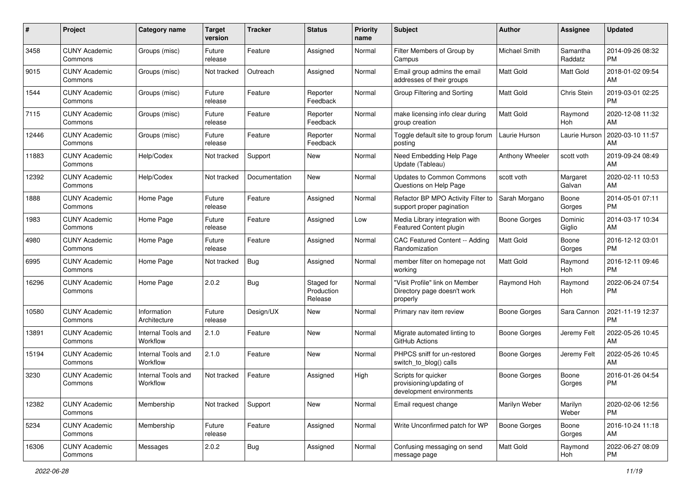| #     | Project                         | <b>Category name</b>           | <b>Target</b><br>version | <b>Tracker</b> | <b>Status</b>                       | <b>Priority</b><br>name | <b>Subject</b>                                                              | Author              | <b>Assignee</b>     | <b>Updated</b>                |
|-------|---------------------------------|--------------------------------|--------------------------|----------------|-------------------------------------|-------------------------|-----------------------------------------------------------------------------|---------------------|---------------------|-------------------------------|
| 3458  | <b>CUNY Academic</b><br>Commons | Groups (misc)                  | Future<br>release        | Feature        | Assigned                            | Normal                  | Filter Members of Group by<br>Campus                                        | Michael Smith       | Samantha<br>Raddatz | 2014-09-26 08:32<br>PM        |
| 9015  | <b>CUNY Academic</b><br>Commons | Groups (misc)                  | Not tracked              | Outreach       | Assigned                            | Normal                  | Email group admins the email<br>addresses of their groups                   | <b>Matt Gold</b>    | <b>Matt Gold</b>    | 2018-01-02 09:54<br>AM        |
| 1544  | <b>CUNY Academic</b><br>Commons | Groups (misc)                  | Future<br>release        | Feature        | Reporter<br>Feedback                | Normal                  | Group Filtering and Sorting                                                 | Matt Gold           | Chris Stein         | 2019-03-01 02:25<br><b>PM</b> |
| 7115  | <b>CUNY Academic</b><br>Commons | Groups (misc)                  | Future<br>release        | Feature        | Reporter<br>Feedback                | Normal                  | make licensing info clear during<br>group creation                          | <b>Matt Gold</b>    | Raymond<br>Hoh      | 2020-12-08 11:32<br>AM        |
| 12446 | <b>CUNY Academic</b><br>Commons | Groups (misc)                  | Future<br>release        | Feature        | Reporter<br>Feedback                | Normal                  | Toggle default site to group forum<br>posting                               | Laurie Hurson       | Laurie Hurson       | 2020-03-10 11:57<br>AM        |
| 11883 | <b>CUNY Academic</b><br>Commons | Help/Codex                     | Not tracked              | Support        | New                                 | Normal                  | Need Embedding Help Page<br>Update (Tableau)                                | Anthony Wheeler     | scott voth          | 2019-09-24 08:49<br>AM        |
| 12392 | <b>CUNY Academic</b><br>Commons | Help/Codex                     | Not tracked              | Documentation  | New                                 | Normal                  | <b>Updates to Common Commons</b><br>Questions on Help Page                  | scott voth          | Margaret<br>Galvan  | 2020-02-11 10:53<br>AM        |
| 1888  | <b>CUNY Academic</b><br>Commons | Home Page                      | Future<br>release        | Feature        | Assigned                            | Normal                  | Refactor BP MPO Activity Filter to<br>support proper pagination             | Sarah Morgano       | Boone<br>Gorges     | 2014-05-01 07:11<br><b>PM</b> |
| 1983  | <b>CUNY Academic</b><br>Commons | Home Page                      | Future<br>release        | Feature        | Assigned                            | Low                     | Media Library integration with<br>Featured Content plugin                   | <b>Boone Gorges</b> | Dominic<br>Giglio   | 2014-03-17 10:34<br>AM        |
| 4980  | <b>CUNY Academic</b><br>Commons | Home Page                      | Future<br>release        | Feature        | Assigned                            | Normal                  | <b>CAC Featured Content -- Adding</b><br>Randomization                      | <b>Matt Gold</b>    | Boone<br>Gorges     | 2016-12-12 03:01<br><b>PM</b> |
| 6995  | <b>CUNY Academic</b><br>Commons | Home Page                      | Not tracked              | <b>Bug</b>     | Assigned                            | Normal                  | member filter on homepage not<br>working                                    | <b>Matt Gold</b>    | Raymond<br>Hoh      | 2016-12-11 09:46<br><b>PM</b> |
| 16296 | <b>CUNY Academic</b><br>Commons | Home Page                      | 2.0.2                    | <b>Bug</b>     | Staged for<br>Production<br>Release | Normal                  | "Visit Profile" link on Member<br>Directory page doesn't work<br>properly   | Raymond Hoh         | Raymond<br>Hoh      | 2022-06-24 07:54<br><b>PM</b> |
| 10580 | <b>CUNY Academic</b><br>Commons | Information<br>Architecture    | Future<br>release        | Design/UX      | New                                 | Normal                  | Primary nav item review                                                     | <b>Boone Gorges</b> | Sara Cannon         | 2021-11-19 12:37<br><b>PM</b> |
| 13891 | <b>CUNY Academic</b><br>Commons | Internal Tools and<br>Workflow | 2.1.0                    | Feature        | New                                 | Normal                  | Migrate automated linting to<br>GitHub Actions                              | Boone Gorges        | Jeremy Felt         | 2022-05-26 10:45<br>AM        |
| 15194 | <b>CUNY Academic</b><br>Commons | Internal Tools and<br>Workflow | 2.1.0                    | Feature        | New                                 | Normal                  | PHPCS sniff for un-restored<br>switch_to_blog() calls                       | <b>Boone Gorges</b> | Jeremy Felt         | 2022-05-26 10:45<br>AM        |
| 3230  | <b>CUNY Academic</b><br>Commons | Internal Tools and<br>Workflow | Not tracked              | Feature        | Assigned                            | High                    | Scripts for quicker<br>provisioning/updating of<br>development environments | <b>Boone Gorges</b> | Boone<br>Gorges     | 2016-01-26 04:54<br><b>PM</b> |
| 12382 | <b>CUNY Academic</b><br>Commons | Membership                     | Not tracked              | Support        | New                                 | Normal                  | Email request change                                                        | Marilyn Weber       | Marilyn<br>Weber    | 2020-02-06 12:56<br>PM        |
| 5234  | <b>CUNY Academic</b><br>Commons | Membership                     | Future<br>release        | Feature        | Assigned                            | Normal                  | Write Unconfirmed patch for WP                                              | <b>Boone Gorges</b> | Boone<br>Gorges     | 2016-10-24 11:18<br>AM        |
| 16306 | <b>CUNY Academic</b><br>Commons | Messages                       | 2.0.2                    | <b>Bug</b>     | Assigned                            | Normal                  | Confusing messaging on send<br>message page                                 | Matt Gold           | Raymond<br>Hoh      | 2022-06-27 08:09<br>PM        |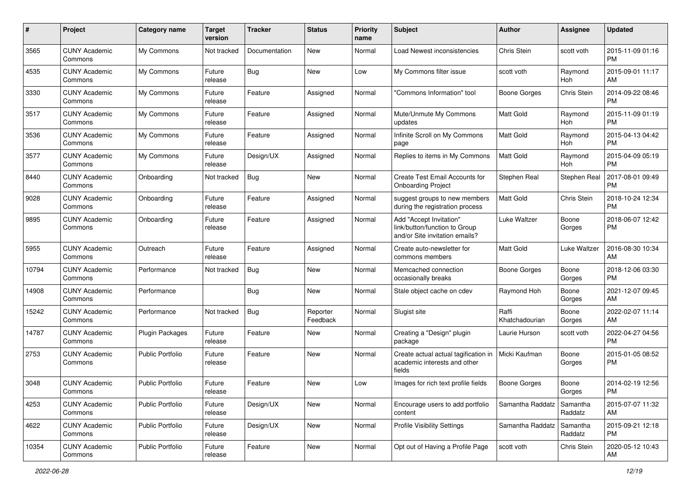| #     | Project                         | <b>Category name</b>    | <b>Target</b><br>version | <b>Tracker</b> | <b>Status</b>        | <b>Priority</b><br>name | Subject                                                                                    | Author                  | <b>Assignee</b>     | <b>Updated</b>                |
|-------|---------------------------------|-------------------------|--------------------------|----------------|----------------------|-------------------------|--------------------------------------------------------------------------------------------|-------------------------|---------------------|-------------------------------|
| 3565  | <b>CUNY Academic</b><br>Commons | My Commons              | Not tracked              | Documentation  | <b>New</b>           | Normal                  | Load Newest inconsistencies                                                                | Chris Stein             | scott voth          | 2015-11-09 01:16<br><b>PM</b> |
| 4535  | <b>CUNY Academic</b><br>Commons | My Commons              | Future<br>release        | <b>Bug</b>     | New                  | Low                     | My Commons filter issue                                                                    | scott voth              | Raymond<br>Hoh      | 2015-09-01 11:17<br>AM        |
| 3330  | <b>CUNY Academic</b><br>Commons | My Commons              | Future<br>release        | Feature        | Assigned             | Normal                  | 'Commons Information" tool                                                                 | <b>Boone Gorges</b>     | Chris Stein         | 2014-09-22 08:46<br><b>PM</b> |
| 3517  | <b>CUNY Academic</b><br>Commons | My Commons              | Future<br>release        | Feature        | Assigned             | Normal                  | Mute/Unmute My Commons<br>updates                                                          | <b>Matt Gold</b>        | Raymond<br>Hoh      | 2015-11-09 01:19<br><b>PM</b> |
| 3536  | <b>CUNY Academic</b><br>Commons | My Commons              | Future<br>release        | Feature        | Assigned             | Normal                  | Infinite Scroll on My Commons<br>page                                                      | <b>Matt Gold</b>        | Raymond<br>Hoh      | 2015-04-13 04:42<br><b>PM</b> |
| 3577  | <b>CUNY Academic</b><br>Commons | My Commons              | Future<br>release        | Design/UX      | Assigned             | Normal                  | Replies to items in My Commons                                                             | <b>Matt Gold</b>        | Raymond<br>Hoh      | 2015-04-09 05:19<br><b>PM</b> |
| 8440  | <b>CUNY Academic</b><br>Commons | Onboarding              | Not tracked              | <b>Bug</b>     | <b>New</b>           | Normal                  | Create Test Email Accounts for<br><b>Onboarding Project</b>                                | Stephen Real            | Stephen Real        | 2017-08-01 09:49<br><b>PM</b> |
| 9028  | <b>CUNY Academic</b><br>Commons | Onboarding              | Future<br>release        | Feature        | Assigned             | Normal                  | suggest groups to new members<br>during the registration process                           | <b>Matt Gold</b>        | Chris Stein         | 2018-10-24 12:34<br><b>PM</b> |
| 9895  | <b>CUNY Academic</b><br>Commons | Onboarding              | Future<br>release        | Feature        | Assigned             | Normal                  | Add "Accept Invitation"<br>link/button/function to Group<br>and/or Site invitation emails? | Luke Waltzer            | Boone<br>Gorges     | 2018-06-07 12:42<br><b>PM</b> |
| 5955  | <b>CUNY Academic</b><br>Commons | Outreach                | Future<br>release        | Feature        | Assigned             | Normal                  | Create auto-newsletter for<br>commons members                                              | <b>Matt Gold</b>        | Luke Waltzer        | 2016-08-30 10:34<br>AM        |
| 10794 | <b>CUNY Academic</b><br>Commons | Performance             | Not tracked              | <b>Bug</b>     | New                  | Normal                  | Memcached connection<br>occasionally breaks                                                | <b>Boone Gorges</b>     | Boone<br>Gorges     | 2018-12-06 03:30<br><b>PM</b> |
| 14908 | CUNY Academic<br>Commons        | Performance             |                          | <b>Bug</b>     | <b>New</b>           | Normal                  | Stale object cache on cdev                                                                 | Raymond Hoh             | Boone<br>Gorges     | 2021-12-07 09:45<br>AM        |
| 15242 | <b>CUNY Academic</b><br>Commons | Performance             | Not tracked              | <b>Bug</b>     | Reporter<br>Feedback | Normal                  | Slugist site                                                                               | Raffi<br>Khatchadourian | Boone<br>Gorges     | 2022-02-07 11:14<br>AM        |
| 14787 | <b>CUNY Academic</b><br>Commons | <b>Plugin Packages</b>  | Future<br>release        | Feature        | <b>New</b>           | Normal                  | Creating a "Design" plugin<br>package                                                      | Laurie Hurson           | scott voth          | 2022-04-27 04:56<br><b>PM</b> |
| 2753  | <b>CUNY Academic</b><br>Commons | <b>Public Portfolio</b> | Future<br>release        | Feature        | <b>New</b>           | Normal                  | Create actual actual tagification in<br>academic interests and other<br>fields             | Micki Kaufman           | Boone<br>Gorges     | 2015-01-05 08:52<br><b>PM</b> |
| 3048  | <b>CUNY Academic</b><br>Commons | <b>Public Portfolio</b> | Future<br>release        | Feature        | <b>New</b>           | Low                     | Images for rich text profile fields                                                        | <b>Boone Gorges</b>     | Boone<br>Gorges     | 2014-02-19 12:56<br>PM        |
| 4253  | <b>CUNY Academic</b><br>Commons | <b>Public Portfolio</b> | Future<br>release        | Design/UX      | New                  | Normal                  | Encourage users to add portfolio<br>content                                                | Samantha Raddatz        | Samantha<br>Raddatz | 2015-07-07 11:32<br>AM        |
| 4622  | <b>CUNY Academic</b><br>Commons | Public Portfolio        | Future<br>release        | Design/UX      | New                  | Normal                  | <b>Profile Visibility Settings</b>                                                         | Samantha Raddatz        | Samantha<br>Raddatz | 2015-09-21 12:18<br>PM        |
| 10354 | <b>CUNY Academic</b><br>Commons | Public Portfolio        | Future<br>release        | Feature        | New                  | Normal                  | Opt out of Having a Profile Page                                                           | scott voth              | Chris Stein         | 2020-05-12 10:43<br>AM        |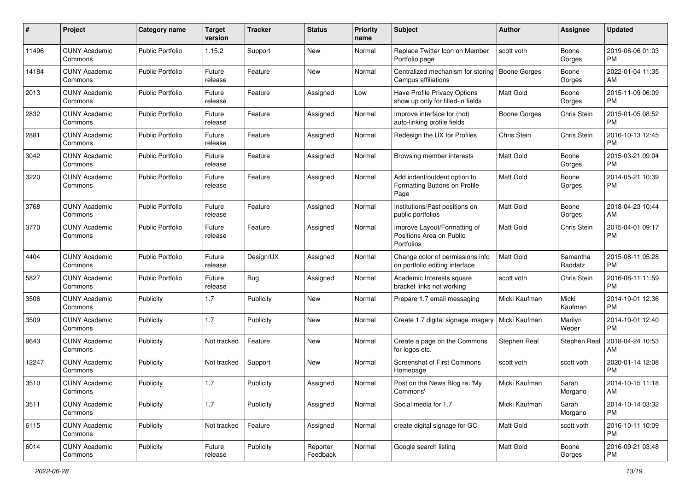| #     | Project                         | <b>Category name</b>    | <b>Target</b><br>version | <b>Tracker</b> | <b>Status</b>        | <b>Priority</b><br>name | Subject                                                                | Author              | <b>Assignee</b>     | <b>Updated</b>                |
|-------|---------------------------------|-------------------------|--------------------------|----------------|----------------------|-------------------------|------------------------------------------------------------------------|---------------------|---------------------|-------------------------------|
| 11496 | <b>CUNY Academic</b><br>Commons | <b>Public Portfolio</b> | 1.15.2                   | Support        | <b>New</b>           | Normal                  | Replace Twitter Icon on Member<br>Portfolio page                       | scott voth          | Boone<br>Gorges     | 2019-06-06 01:03<br><b>PM</b> |
| 14184 | <b>CUNY Academic</b><br>Commons | <b>Public Portfolio</b> | Future<br>release        | Feature        | <b>New</b>           | Normal                  | Centralized mechanism for storing<br>Campus affiliations               | <b>Boone Gorges</b> | Boone<br>Gorges     | 2022-01-04 11:35<br>AM        |
| 2013  | CUNY Academic<br>Commons        | <b>Public Portfolio</b> | Future<br>release        | Feature        | Assigned             | Low                     | Have Profile Privacy Options<br>show up only for filled-in fields      | <b>Matt Gold</b>    | Boone<br>Gorges     | 2015-11-09 06:09<br><b>PM</b> |
| 2832  | <b>CUNY Academic</b><br>Commons | <b>Public Portfolio</b> | Future<br>release        | Feature        | Assigned             | Normal                  | Improve interface for (not)<br>auto-linking profile fields             | Boone Gorges        | Chris Stein         | 2015-01-05 08:52<br><b>PM</b> |
| 2881  | <b>CUNY Academic</b><br>Commons | <b>Public Portfolio</b> | Future<br>release        | Feature        | Assigned             | Normal                  | Redesign the UX for Profiles                                           | Chris Stein         | Chris Stein         | 2016-10-13 12:45<br><b>PM</b> |
| 3042  | <b>CUNY Academic</b><br>Commons | <b>Public Portfolio</b> | Future<br>release        | Feature        | Assigned             | Normal                  | Browsing member interests                                              | <b>Matt Gold</b>    | Boone<br>Gorges     | 2015-03-21 09:04<br><b>PM</b> |
| 3220  | <b>CUNY Academic</b><br>Commons | <b>Public Portfolio</b> | Future<br>release        | Feature        | Assigned             | Normal                  | Add indent/outdent option to<br>Formatting Buttons on Profile<br>Page  | Matt Gold           | Boone<br>Gorges     | 2014-05-21 10:39<br><b>PM</b> |
| 3768  | <b>CUNY Academic</b><br>Commons | <b>Public Portfolio</b> | Future<br>release        | Feature        | Assigned             | Normal                  | Institutions/Past positions on<br>public portfolios                    | Matt Gold           | Boone<br>Gorges     | 2018-04-23 10:44<br>AM        |
| 3770  | <b>CUNY Academic</b><br>Commons | Public Portfolio        | Future<br>release        | Feature        | Assigned             | Normal                  | Improve Layout/Formatting of<br>Positions Area on Public<br>Portfolios | <b>Matt Gold</b>    | Chris Stein         | 2015-04-01 09:17<br><b>PM</b> |
| 4404  | <b>CUNY Academic</b><br>Commons | <b>Public Portfolio</b> | Future<br>release        | Design/UX      | Assigned             | Normal                  | Change color of permissions info<br>on portfolio editing interface     | <b>Matt Gold</b>    | Samantha<br>Raddatz | 2015-08-11 05:28<br><b>PM</b> |
| 5827  | <b>CUNY Academic</b><br>Commons | <b>Public Portfolio</b> | Future<br>release        | <b>Bug</b>     | Assigned             | Normal                  | Academic Interests square<br>bracket links not working                 | scott voth          | Chris Stein         | 2016-08-11 11:59<br><b>PM</b> |
| 3506  | <b>CUNY Academic</b><br>Commons | Publicity               | 1.7                      | Publicity      | <b>New</b>           | Normal                  | Prepare 1.7 email messaging                                            | Micki Kaufman       | Micki<br>Kaufman    | 2014-10-01 12:36<br><b>PM</b> |
| 3509  | <b>CUNY Academic</b><br>Commons | Publicity               | 1.7                      | Publicity      | <b>New</b>           | Normal                  | Create 1.7 digital signage imagery                                     | Micki Kaufman       | Marilyn<br>Weber    | 2014-10-01 12:40<br><b>PM</b> |
| 9643  | <b>CUNY Academic</b><br>Commons | Publicity               | Not tracked              | Feature        | <b>New</b>           | Normal                  | Create a page on the Commons<br>for logos etc.                         | Stephen Real        | Stephen Real        | 2018-04-24 10:53<br>AM        |
| 12247 | <b>CUNY Academic</b><br>Commons | Publicity               | Not tracked              | Support        | <b>New</b>           | Normal                  | Screenshot of First Commons<br>Homepage                                | scott voth          | scott voth          | 2020-01-14 12:08<br><b>PM</b> |
| 3510  | <b>CUNY Academic</b><br>Commons | Publicity               | 1.7                      | Publicity      | Assigned             | Normal                  | Post on the News Blog re: 'My<br>Commons'                              | Micki Kaufman       | Sarah<br>Morgano    | 2014-10-15 11:18<br>AM        |
| 3511  | <b>CUNY Academic</b><br>Commons | Publicity               | 1.7                      | Publicity      | Assigned             | Normal                  | Social media for 1.7                                                   | Micki Kaufman       | Sarah<br>Morgano    | 2014-10-14 03:32<br><b>PM</b> |
| 6115  | <b>CUNY Academic</b><br>Commons | Publicity               | Not tracked              | Feature        | Assigned             | Normal                  | create digital signage for GC                                          | Matt Gold           | scott voth          | 2016-10-11 10:09<br>PM        |
| 6014  | <b>CUNY Academic</b><br>Commons | Publicity               | Future<br>release        | Publicity      | Reporter<br>Feedback | Normal                  | Google search listing                                                  | Matt Gold           | Boone<br>Gorges     | 2016-09-21 03:48<br>PM        |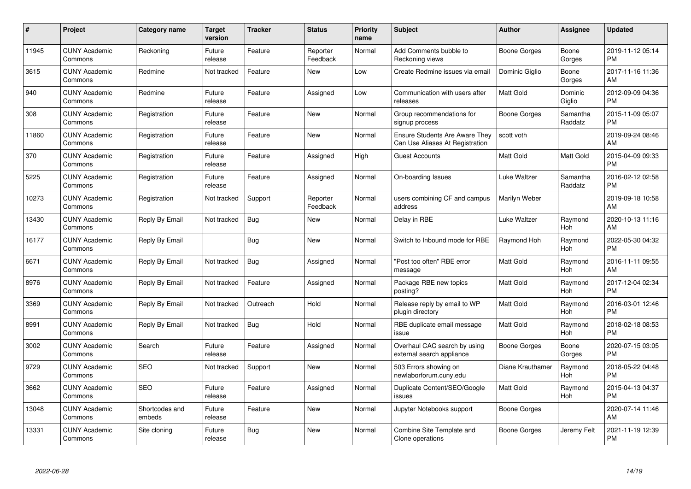| $\pmb{\#}$ | Project                         | <b>Category name</b>     | <b>Target</b><br>version | <b>Tracker</b> | <b>Status</b>        | <b>Priority</b><br>name | <b>Subject</b>                                                    | Author              | <b>Assignee</b>     | <b>Updated</b>                |
|------------|---------------------------------|--------------------------|--------------------------|----------------|----------------------|-------------------------|-------------------------------------------------------------------|---------------------|---------------------|-------------------------------|
| 11945      | <b>CUNY Academic</b><br>Commons | Reckoning                | Future<br>release        | Feature        | Reporter<br>Feedback | Normal                  | Add Comments bubble to<br>Reckoning views                         | <b>Boone Gorges</b> | Boone<br>Gorges     | 2019-11-12 05:14<br><b>PM</b> |
| 3615       | <b>CUNY Academic</b><br>Commons | Redmine                  | Not tracked              | Feature        | <b>New</b>           | Low                     | Create Redmine issues via email                                   | Dominic Giglio      | Boone<br>Gorges     | 2017-11-16 11:36<br>AM        |
| 940        | <b>CUNY Academic</b><br>Commons | Redmine                  | Future<br>release        | Feature        | Assigned             | Low                     | Communication with users after<br>releases                        | <b>Matt Gold</b>    | Dominic<br>Giglio   | 2012-09-09 04:36<br><b>PM</b> |
| 308        | <b>CUNY Academic</b><br>Commons | Registration             | Future<br>release        | Feature        | <b>New</b>           | Normal                  | Group recommendations for<br>signup process                       | Boone Gorges        | Samantha<br>Raddatz | 2015-11-09 05:07<br><b>PM</b> |
| 11860      | <b>CUNY Academic</b><br>Commons | Registration             | Future<br>release        | Feature        | New                  | Normal                  | Ensure Students Are Aware They<br>Can Use Aliases At Registration | scott voth          |                     | 2019-09-24 08:46<br>AM        |
| 370        | <b>CUNY Academic</b><br>Commons | Registration             | Future<br>release        | Feature        | Assigned             | High                    | <b>Guest Accounts</b>                                             | Matt Gold           | <b>Matt Gold</b>    | 2015-04-09 09:33<br><b>PM</b> |
| 5225       | <b>CUNY Academic</b><br>Commons | Registration             | Future<br>release        | Feature        | Assigned             | Normal                  | On-boarding Issues                                                | Luke Waltzer        | Samantha<br>Raddatz | 2016-02-12 02:58<br><b>PM</b> |
| 10273      | <b>CUNY Academic</b><br>Commons | Registration             | Not tracked              | Support        | Reporter<br>Feedback | Normal                  | users combining CF and campus<br>address                          | Marilyn Weber       |                     | 2019-09-18 10:58<br>AM        |
| 13430      | <b>CUNY Academic</b><br>Commons | Reply By Email           | Not tracked              | <b>Bug</b>     | New                  | Normal                  | Delay in RBE                                                      | Luke Waltzer        | Raymond<br>Hoh      | 2020-10-13 11:16<br>AM        |
| 16177      | <b>CUNY Academic</b><br>Commons | Reply By Email           |                          | Bug            | <b>New</b>           | Normal                  | Switch to Inbound mode for RBE                                    | Raymond Hoh         | Raymond<br>Hoh      | 2022-05-30 04:32<br><b>PM</b> |
| 6671       | <b>CUNY Academic</b><br>Commons | Reply By Email           | Not tracked              | Bug            | Assigned             | Normal                  | 'Post too often" RBE error<br>message                             | <b>Matt Gold</b>    | Raymond<br>Hoh      | 2016-11-11 09:55<br>AM        |
| 8976       | <b>CUNY Academic</b><br>Commons | Reply By Email           | Not tracked              | Feature        | Assigned             | Normal                  | Package RBE new topics<br>posting?                                | Matt Gold           | Raymond<br>Hoh      | 2017-12-04 02:34<br><b>PM</b> |
| 3369       | <b>CUNY Academic</b><br>Commons | Reply By Email           | Not tracked              | Outreach       | Hold                 | Normal                  | Release reply by email to WP<br>plugin directory                  | Matt Gold           | Raymond<br>Hoh      | 2016-03-01 12:46<br><b>PM</b> |
| 8991       | <b>CUNY Academic</b><br>Commons | Reply By Email           | Not tracked              | <b>Bug</b>     | Hold                 | Normal                  | RBE duplicate email message<br>issue                              | Matt Gold           | Raymond<br>Hoh      | 2018-02-18 08:53<br><b>PM</b> |
| 3002       | <b>CUNY Academic</b><br>Commons | Search                   | Future<br>release        | Feature        | Assigned             | Normal                  | Overhaul CAC search by using<br>external search appliance         | Boone Gorges        | Boone<br>Gorges     | 2020-07-15 03:05<br><b>PM</b> |
| 9729       | <b>CUNY Academic</b><br>Commons | <b>SEO</b>               | Not tracked              | Support        | <b>New</b>           | Normal                  | 503 Errors showing on<br>newlaborforum.cuny.edu                   | Diane Krauthamer    | Raymond<br>Hoh      | 2018-05-22 04:48<br><b>PM</b> |
| 3662       | <b>CUNY Academic</b><br>Commons | <b>SEO</b>               | Future<br>release        | Feature        | Assigned             | Normal                  | Duplicate Content/SEO/Google<br>issues                            | <b>Matt Gold</b>    | Raymond<br>Hoh      | 2015-04-13 04:37<br><b>PM</b> |
| 13048      | <b>CUNY Academic</b><br>Commons | Shortcodes and<br>embeds | Future<br>release        | Feature        | <b>New</b>           | Normal                  | Jupyter Notebooks support                                         | Boone Gorges        |                     | 2020-07-14 11:46<br>AM        |
| 13331      | <b>CUNY Academic</b><br>Commons | Site cloning             | Future<br>release        | <b>Bug</b>     | <b>New</b>           | Normal                  | Combine Site Template and<br>Clone operations                     | Boone Gorges        | Jeremy Felt         | 2021-11-19 12:39<br>PM        |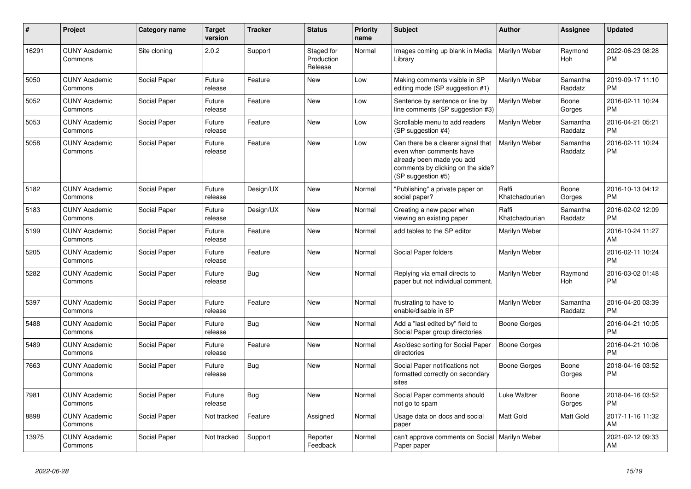| $\pmb{\#}$ | <b>Project</b>                  | Category name | <b>Target</b><br>version | <b>Tracker</b> | <b>Status</b>                       | <b>Priority</b><br>name | <b>Subject</b>                                                                                                                                        | <b>Author</b>           | <b>Assignee</b>       | <b>Updated</b>                |
|------------|---------------------------------|---------------|--------------------------|----------------|-------------------------------------|-------------------------|-------------------------------------------------------------------------------------------------------------------------------------------------------|-------------------------|-----------------------|-------------------------------|
| 16291      | <b>CUNY Academic</b><br>Commons | Site cloning  | 2.0.2                    | Support        | Staged for<br>Production<br>Release | Normal                  | Images coming up blank in Media<br>Library                                                                                                            | Marilyn Weber           | Raymond<br>Hoh        | 2022-06-23 08:28<br><b>PM</b> |
| 5050       | <b>CUNY Academic</b><br>Commons | Social Paper  | Future<br>release        | Feature        | <b>New</b>                          | Low                     | Making comments visible in SP<br>editing mode (SP suggestion #1)                                                                                      | Marilyn Weber           | Samantha<br>Raddatz   | 2019-09-17 11:10<br><b>PM</b> |
| 5052       | <b>CUNY Academic</b><br>Commons | Social Paper  | Future<br>release        | Feature        | <b>New</b>                          | Low                     | Sentence by sentence or line by<br>line comments (SP suggestion #3)                                                                                   | Marilyn Weber           | Boone<br>Gorges       | 2016-02-11 10:24<br><b>PM</b> |
| 5053       | <b>CUNY Academic</b><br>Commons | Social Paper  | Future<br>release        | Feature        | <b>New</b>                          | Low                     | Scrollable menu to add readers<br>(SP suggestion #4)                                                                                                  | Marilyn Weber           | Samantha<br>Raddatz   | 2016-04-21 05:21<br><b>PM</b> |
| 5058       | <b>CUNY Academic</b><br>Commons | Social Paper  | Future<br>release        | Feature        | <b>New</b>                          | Low                     | Can there be a clearer signal that<br>even when comments have<br>already been made you add<br>comments by clicking on the side?<br>(SP suggestion #5) | Marilyn Weber           | Samantha<br>Raddatz   | 2016-02-11 10:24<br><b>PM</b> |
| 5182       | <b>CUNY Academic</b><br>Commons | Social Paper  | Future<br>release        | Design/UX      | <b>New</b>                          | Normal                  | 'Publishing" a private paper on<br>social paper?                                                                                                      | Raffi<br>Khatchadourian | Boone<br>Gorges       | 2016-10-13 04:12<br><b>PM</b> |
| 5183       | <b>CUNY Academic</b><br>Commons | Social Paper  | Future<br>release        | Design/UX      | <b>New</b>                          | Normal                  | Creating a new paper when<br>viewing an existing paper                                                                                                | Raffi<br>Khatchadourian | Samantha<br>Raddatz   | 2016-02-02 12:09<br><b>PM</b> |
| 5199       | <b>CUNY Academic</b><br>Commons | Social Paper  | Future<br>release        | Feature        | <b>New</b>                          | Normal                  | add tables to the SP editor                                                                                                                           | Marilyn Weber           |                       | 2016-10-24 11:27<br>AM        |
| 5205       | <b>CUNY Academic</b><br>Commons | Social Paper  | Future<br>release        | Feature        | <b>New</b>                          | Normal                  | Social Paper folders                                                                                                                                  | Marilyn Weber           |                       | 2016-02-11 10:24<br><b>PM</b> |
| 5282       | <b>CUNY Academic</b><br>Commons | Social Paper  | Future<br>release        | <b>Bug</b>     | <b>New</b>                          | Normal                  | Replying via email directs to<br>paper but not individual comment.                                                                                    | Marilyn Weber           | Raymond<br><b>Hoh</b> | 2016-03-02 01:48<br><b>PM</b> |
| 5397       | <b>CUNY Academic</b><br>Commons | Social Paper  | Future<br>release        | Feature        | <b>New</b>                          | Normal                  | frustrating to have to<br>enable/disable in SP                                                                                                        | Marilyn Weber           | Samantha<br>Raddatz   | 2016-04-20 03:39<br><b>PM</b> |
| 5488       | <b>CUNY Academic</b><br>Commons | Social Paper  | Future<br>release        | Bug            | <b>New</b>                          | Normal                  | Add a "last edited by" field to<br>Social Paper group directories                                                                                     | Boone Gorges            |                       | 2016-04-21 10:05<br><b>PM</b> |
| 5489       | <b>CUNY Academic</b><br>Commons | Social Paper  | Future<br>release        | Feature        | <b>New</b>                          | Normal                  | Asc/desc sorting for Social Paper<br>directories                                                                                                      | Boone Gorges            |                       | 2016-04-21 10:06<br><b>PM</b> |
| 7663       | <b>CUNY Academic</b><br>Commons | Social Paper  | Future<br>release        | <b>Bug</b>     | <b>New</b>                          | Normal                  | Social Paper notifications not<br>formatted correctly on secondary<br>sites                                                                           | Boone Gorges            | Boone<br>Gorges       | 2018-04-16 03:52<br><b>PM</b> |
| 7981       | <b>CUNY Academic</b><br>Commons | Social Paper  | Future<br>release        | Bug            | <b>New</b>                          | Normal                  | Social Paper comments should<br>not go to spam                                                                                                        | Luke Waltzer            | Boone<br>Gorges       | 2018-04-16 03:52<br><b>PM</b> |
| 8898       | <b>CUNY Academic</b><br>Commons | Social Paper  | Not tracked              | Feature        | Assigned                            | Normal                  | Usage data on docs and social<br>paper                                                                                                                | Matt Gold               | <b>Matt Gold</b>      | 2017-11-16 11:32<br>AM        |
| 13975      | <b>CUNY Academic</b><br>Commons | Social Paper  | Not tracked              | Support        | Reporter<br>Feedback                | Normal                  | can't approve comments on Social   Marilyn Weber<br>Paper paper                                                                                       |                         |                       | 2021-02-12 09:33<br>AM        |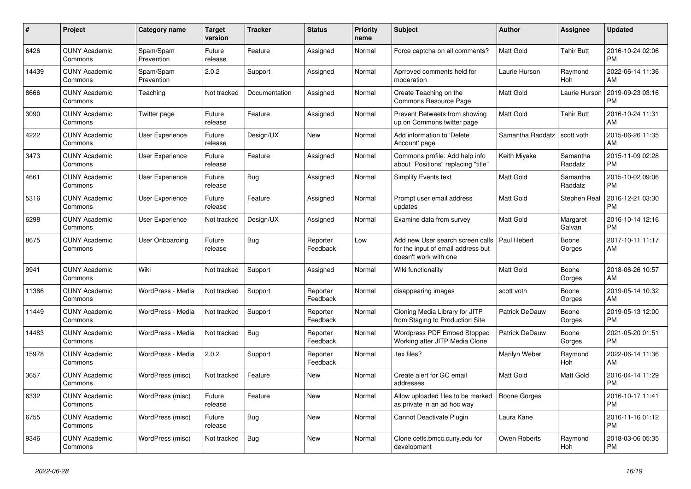| #     | Project                         | Category name           | Target<br>version | <b>Tracker</b> | <b>Status</b>        | <b>Priority</b><br>name | <b>Subject</b>                                                                                  | <b>Author</b>         | <b>Assignee</b>     | <b>Updated</b>                |
|-------|---------------------------------|-------------------------|-------------------|----------------|----------------------|-------------------------|-------------------------------------------------------------------------------------------------|-----------------------|---------------------|-------------------------------|
| 6426  | <b>CUNY Academic</b><br>Commons | Spam/Spam<br>Prevention | Future<br>release | Feature        | Assigned             | Normal                  | Force captcha on all comments?                                                                  | <b>Matt Gold</b>      | Tahir Butt          | 2016-10-24 02:06<br><b>PM</b> |
| 14439 | <b>CUNY Academic</b><br>Commons | Spam/Spam<br>Prevention | 2.0.2             | Support        | Assigned             | Normal                  | Aprroved comments held for<br>moderation                                                        | Laurie Hurson         | Raymond<br>Hoh      | 2022-06-14 11:36<br>AM        |
| 8666  | <b>CUNY Academic</b><br>Commons | Teaching                | Not tracked       | Documentation  | Assigned             | Normal                  | Create Teaching on the<br><b>Commons Resource Page</b>                                          | Matt Gold             | Laurie Hurson       | 2019-09-23 03:16<br><b>PM</b> |
| 3090  | <b>CUNY Academic</b><br>Commons | Twitter page            | Future<br>release | Feature        | Assigned             | Normal                  | Prevent Retweets from showing<br>up on Commons twitter page                                     | <b>Matt Gold</b>      | Tahir Butt          | 2016-10-24 11:31<br>AM        |
| 4222  | <b>CUNY Academic</b><br>Commons | <b>User Experience</b>  | Future<br>release | Design/UX      | <b>New</b>           | Normal                  | Add information to 'Delete<br>Account' page                                                     | Samantha Raddatz      | scott voth          | 2015-06-26 11:35<br>AM        |
| 3473  | <b>CUNY Academic</b><br>Commons | <b>User Experience</b>  | Future<br>release | Feature        | Assigned             | Normal                  | Commons profile: Add help info<br>about "Positions" replacing "title"                           | Keith Miyake          | Samantha<br>Raddatz | 2015-11-09 02:28<br><b>PM</b> |
| 4661  | <b>CUNY Academic</b><br>Commons | <b>User Experience</b>  | Future<br>release | <b>Bug</b>     | Assigned             | Normal                  | Simplify Events text                                                                            | <b>Matt Gold</b>      | Samantha<br>Raddatz | 2015-10-02 09:06<br><b>PM</b> |
| 5316  | <b>CUNY Academic</b><br>Commons | <b>User Experience</b>  | Future<br>release | Feature        | Assigned             | Normal                  | Prompt user email address<br>updates                                                            | <b>Matt Gold</b>      | Stephen Real        | 2016-12-21 03:30<br><b>PM</b> |
| 6298  | <b>CUNY Academic</b><br>Commons | User Experience         | Not tracked       | Design/UX      | Assigned             | Normal                  | Examine data from survey                                                                        | Matt Gold             | Margaret<br>Galvan  | 2016-10-14 12:16<br><b>PM</b> |
| 8675  | <b>CUNY Academic</b><br>Commons | User Onboarding         | Future<br>release | Bug            | Reporter<br>Feedback | Low                     | Add new User search screen calls<br>for the input of email address but<br>doesn't work with one | Paul Hebert           | Boone<br>Gorges     | 2017-10-11 11:17<br>AM        |
| 9941  | <b>CUNY Academic</b><br>Commons | Wiki                    | Not tracked       | Support        | Assigned             | Normal                  | Wiki functionality                                                                              | Matt Gold             | Boone<br>Gorges     | 2018-06-26 10:57<br>AM        |
| 11386 | <b>CUNY Academic</b><br>Commons | WordPress - Media       | Not tracked       | Support        | Reporter<br>Feedback | Normal                  | disappearing images                                                                             | scott voth            | Boone<br>Gorges     | 2019-05-14 10:32<br>AM        |
| 11449 | <b>CUNY Academic</b><br>Commons | WordPress - Media       | Not tracked       | Support        | Reporter<br>Feedback | Normal                  | Cloning Media Library for JITP<br>from Staging to Production Site                               | Patrick DeDauw        | Boone<br>Gorges     | 2019-05-13 12:00<br><b>PM</b> |
| 14483 | <b>CUNY Academic</b><br>Commons | WordPress - Media       | Not tracked       | <b>Bug</b>     | Reporter<br>Feedback | Normal                  | <b>Wordpress PDF Embed Stopped</b><br>Working after JITP Media Clone                            | <b>Patrick DeDauw</b> | Boone<br>Gorges     | 2021-05-20 01:51<br><b>PM</b> |
| 15978 | <b>CUNY Academic</b><br>Commons | WordPress - Media       | 2.0.2             | Support        | Reporter<br>Feedback | Normal                  | tex files?                                                                                      | Marilyn Weber         | Raymond<br>Hoh      | 2022-06-14 11:36<br>AM        |
| 3657  | <b>CUNY Academic</b><br>Commons | WordPress (misc)        | Not tracked       | Feature        | <b>New</b>           | Normal                  | Create alert for GC email<br>addresses                                                          | Matt Gold             | Matt Gold           | 2016-04-14 11:29<br><b>PM</b> |
| 6332  | <b>CUNY Academic</b><br>Commons | WordPress (misc)        | Future<br>release | Feature        | <b>New</b>           | Normal                  | Allow uploaded files to be marked<br>as private in an ad hoc way                                | <b>Boone Gorges</b>   |                     | 2016-10-17 11:41<br><b>PM</b> |
| 6755  | <b>CUNY Academic</b><br>Commons | WordPress (misc)        | Future<br>release | <b>Bug</b>     | <b>New</b>           | Normal                  | Cannot Deactivate Plugin                                                                        | Laura Kane            |                     | 2016-11-16 01:12<br><b>PM</b> |
| 9346  | <b>CUNY Academic</b><br>Commons | WordPress (misc)        | Not tracked       | <b>Bug</b>     | <b>New</b>           | Normal                  | Clone cetls.bmcc.cuny.edu for<br>development                                                    | Owen Roberts          | Raymond<br>Hoh      | 2018-03-06 05:35<br><b>PM</b> |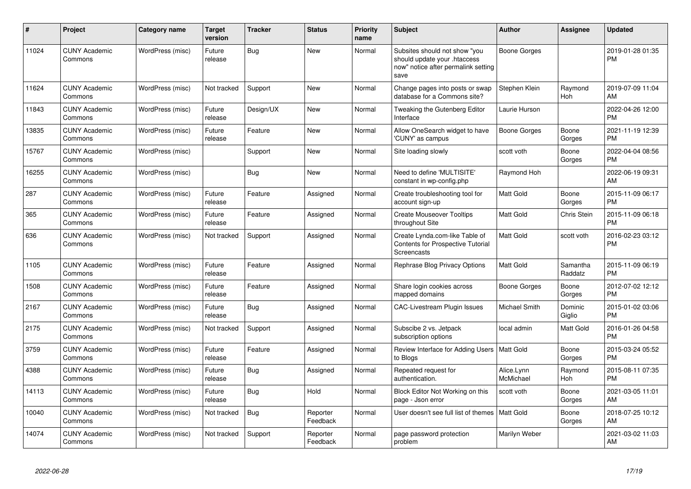| $\#$  | Project                         | <b>Category name</b> | <b>Target</b><br>version | <b>Tracker</b> | <b>Status</b>        | <b>Priority</b><br>name | <b>Subject</b>                                                                                               | <b>Author</b>           | Assignee            | <b>Updated</b>                |
|-------|---------------------------------|----------------------|--------------------------|----------------|----------------------|-------------------------|--------------------------------------------------------------------------------------------------------------|-------------------------|---------------------|-------------------------------|
| 11024 | <b>CUNY Academic</b><br>Commons | WordPress (misc)     | Future<br>release        | Bug            | <b>New</b>           | Normal                  | Subsites should not show "you<br>should update your .htaccess<br>now" notice after permalink setting<br>save | <b>Boone Gorges</b>     |                     | 2019-01-28 01:35<br><b>PM</b> |
| 11624 | <b>CUNY Academic</b><br>Commons | WordPress (misc)     | Not tracked              | Support        | <b>New</b>           | Normal                  | Change pages into posts or swap<br>database for a Commons site?                                              | Stephen Klein           | Raymond<br>Hoh      | 2019-07-09 11:04<br>AM        |
| 11843 | <b>CUNY Academic</b><br>Commons | WordPress (misc)     | Future<br>release        | Design/UX      | New                  | Normal                  | Tweaking the Gutenberg Editor<br>Interface                                                                   | Laurie Hurson           |                     | 2022-04-26 12:00<br><b>PM</b> |
| 13835 | <b>CUNY Academic</b><br>Commons | WordPress (misc)     | Future<br>release        | Feature        | <b>New</b>           | Normal                  | Allow OneSearch widget to have<br>'CUNY' as campus                                                           | <b>Boone Gorges</b>     | Boone<br>Gorges     | 2021-11-19 12:39<br><b>PM</b> |
| 15767 | <b>CUNY Academic</b><br>Commons | WordPress (misc)     |                          | Support        | <b>New</b>           | Normal                  | Site loading slowly                                                                                          | scott voth              | Boone<br>Gorges     | 2022-04-04 08:56<br><b>PM</b> |
| 16255 | <b>CUNY Academic</b><br>Commons | WordPress (misc)     |                          | <b>Bug</b>     | <b>New</b>           | Normal                  | Need to define 'MULTISITE'<br>constant in wp-config.php                                                      | Raymond Hoh             |                     | 2022-06-19 09:31<br>AM        |
| 287   | <b>CUNY Academic</b><br>Commons | WordPress (misc)     | Future<br>release        | Feature        | Assigned             | Normal                  | Create troubleshooting tool for<br>account sign-up                                                           | Matt Gold               | Boone<br>Gorges     | 2015-11-09 06:17<br><b>PM</b> |
| 365   | <b>CUNY Academic</b><br>Commons | WordPress (misc)     | Future<br>release        | Feature        | Assigned             | Normal                  | <b>Create Mouseover Tooltips</b><br>throughout Site                                                          | Matt Gold               | Chris Stein         | 2015-11-09 06:18<br><b>PM</b> |
| 636   | <b>CUNY Academic</b><br>Commons | WordPress (misc)     | Not tracked              | Support        | Assigned             | Normal                  | Create Lynda.com-like Table of<br>Contents for Prospective Tutorial<br>Screencasts                           | Matt Gold               | scott voth          | 2016-02-23 03:12<br><b>PM</b> |
| 1105  | <b>CUNY Academic</b><br>Commons | WordPress (misc)     | Future<br>release        | Feature        | Assigned             | Normal                  | Rephrase Blog Privacy Options                                                                                | Matt Gold               | Samantha<br>Raddatz | 2015-11-09 06:19<br><b>PM</b> |
| 1508  | <b>CUNY Academic</b><br>Commons | WordPress (misc)     | Future<br>release        | Feature        | Assigned             | Normal                  | Share login cookies across<br>mapped domains                                                                 | Boone Gorges            | Boone<br>Gorges     | 2012-07-02 12:12<br><b>PM</b> |
| 2167  | <b>CUNY Academic</b><br>Commons | WordPress (misc)     | Future<br>release        | Bug            | Assigned             | Normal                  | <b>CAC-Livestream Plugin Issues</b>                                                                          | Michael Smith           | Dominic<br>Giglio   | 2015-01-02 03:06<br><b>PM</b> |
| 2175  | <b>CUNY Academic</b><br>Commons | WordPress (misc)     | Not tracked              | Support        | Assigned             | Normal                  | Subscibe 2 vs. Jetpack<br>subscription options                                                               | local admin             | Matt Gold           | 2016-01-26 04:58<br><b>PM</b> |
| 3759  | <b>CUNY Academic</b><br>Commons | WordPress (misc)     | Future<br>release        | Feature        | Assigned             | Normal                  | Review Interface for Adding Users   Matt Gold<br>to Blogs                                                    |                         | Boone<br>Gorges     | 2015-03-24 05:52<br><b>PM</b> |
| 4388  | <b>CUNY Academic</b><br>Commons | WordPress (misc)     | Future<br>release        | Bug            | Assigned             | Normal                  | Repeated request for<br>authentication.                                                                      | Alice.Lynn<br>McMichael | Raymond<br>Hoh      | 2015-08-11 07:35<br><b>PM</b> |
| 14113 | <b>CUNY Academic</b><br>Commons | WordPress (misc)     | Future<br>release        | Bug            | Hold                 | Normal                  | Block Editor Not Working on this<br>page - Json error                                                        | scott voth              | Boone<br>Gorges     | 2021-03-05 11:01<br>AM        |
| 10040 | <b>CUNY Academic</b><br>Commons | WordPress (misc)     | Not tracked              | Bug            | Reporter<br>Feedback | Normal                  | User doesn't see full list of themes   Matt Gold                                                             |                         | Boone<br>Gorges     | 2018-07-25 10:12<br>AM        |
| 14074 | <b>CUNY Academic</b><br>Commons | WordPress (misc)     | Not tracked              | Support        | Reporter<br>Feedback | Normal                  | page password protection<br>problem                                                                          | Marilyn Weber           |                     | 2021-03-02 11:03<br>AM        |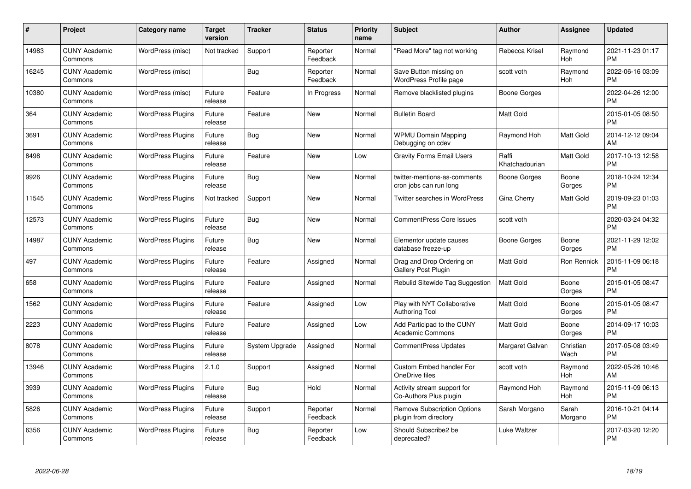| $\#$  | Project                         | <b>Category name</b>     | <b>Target</b><br>version | <b>Tracker</b> | <b>Status</b>        | <b>Priority</b><br>name | <b>Subject</b>                                              | Author                  | <b>Assignee</b>   | <b>Updated</b>                |
|-------|---------------------------------|--------------------------|--------------------------|----------------|----------------------|-------------------------|-------------------------------------------------------------|-------------------------|-------------------|-------------------------------|
| 14983 | <b>CUNY Academic</b><br>Commons | WordPress (misc)         | Not tracked              | Support        | Reporter<br>Feedback | Normal                  | 'Read More" tag not working                                 | Rebecca Krisel          | Raymond<br>Hoh    | 2021-11-23 01:17<br><b>PM</b> |
| 16245 | <b>CUNY Academic</b><br>Commons | WordPress (misc)         |                          | <b>Bug</b>     | Reporter<br>Feedback | Normal                  | Save Button missing on<br><b>WordPress Profile page</b>     | scott voth              | Raymond<br>Hoh    | 2022-06-16 03:09<br><b>PM</b> |
| 10380 | <b>CUNY Academic</b><br>Commons | WordPress (misc)         | Future<br>release        | Feature        | In Progress          | Normal                  | Remove blacklisted plugins                                  | <b>Boone Gorges</b>     |                   | 2022-04-26 12:00<br><b>PM</b> |
| 364   | <b>CUNY Academic</b><br>Commons | WordPress Plugins        | Future<br>release        | Feature        | <b>New</b>           | Normal                  | <b>Bulletin Board</b>                                       | Matt Gold               |                   | 2015-01-05 08:50<br><b>PM</b> |
| 3691  | <b>CUNY Academic</b><br>Commons | <b>WordPress Plugins</b> | Future<br>release        | <b>Bug</b>     | <b>New</b>           | Normal                  | <b>WPMU Domain Mapping</b><br>Debugging on cdev             | Raymond Hoh             | <b>Matt Gold</b>  | 2014-12-12 09:04<br>AM        |
| 8498  | <b>CUNY Academic</b><br>Commons | <b>WordPress Plugins</b> | Future<br>release        | Feature        | <b>New</b>           | Low                     | <b>Gravity Forms Email Users</b>                            | Raffi<br>Khatchadourian | Matt Gold         | 2017-10-13 12:58<br><b>PM</b> |
| 9926  | <b>CUNY Academic</b><br>Commons | <b>WordPress Plugins</b> | Future<br>release        | <b>Bug</b>     | <b>New</b>           | Normal                  | twitter-mentions-as-comments<br>cron jobs can run long      | Boone Gorges            | Boone<br>Gorges   | 2018-10-24 12:34<br><b>PM</b> |
| 11545 | <b>CUNY Academic</b><br>Commons | <b>WordPress Plugins</b> | Not tracked              | Support        | <b>New</b>           | Normal                  | Twitter searches in WordPress                               | Gina Cherry             | Matt Gold         | 2019-09-23 01:03<br><b>PM</b> |
| 12573 | <b>CUNY Academic</b><br>Commons | <b>WordPress Plugins</b> | Future<br>release        | <b>Bug</b>     | <b>New</b>           | Normal                  | <b>CommentPress Core Issues</b>                             | scott voth              |                   | 2020-03-24 04:32<br><b>PM</b> |
| 14987 | <b>CUNY Academic</b><br>Commons | <b>WordPress Plugins</b> | Future<br>release        | <b>Bug</b>     | <b>New</b>           | Normal                  | Elementor update causes<br>database freeze-up               | Boone Gorges            | Boone<br>Gorges   | 2021-11-29 12:02<br><b>PM</b> |
| 497   | <b>CUNY Academic</b><br>Commons | <b>WordPress Plugins</b> | Future<br>release        | Feature        | Assigned             | Normal                  | Drag and Drop Ordering on<br>Gallery Post Plugin            | <b>Matt Gold</b>        | Ron Rennick       | 2015-11-09 06:18<br><b>PM</b> |
| 658   | <b>CUNY Academic</b><br>Commons | <b>WordPress Plugins</b> | Future<br>release        | Feature        | Assigned             | Normal                  | Rebulid Sitewide Tag Suggestion                             | Matt Gold               | Boone<br>Gorges   | 2015-01-05 08:47<br><b>PM</b> |
| 1562  | <b>CUNY Academic</b><br>Commons | <b>WordPress Plugins</b> | Future<br>release        | Feature        | Assigned             | Low                     | Play with NYT Collaborative<br><b>Authoring Tool</b>        | <b>Matt Gold</b>        | Boone<br>Gorges   | 2015-01-05 08:47<br><b>PM</b> |
| 2223  | <b>CUNY Academic</b><br>Commons | <b>WordPress Plugins</b> | Future<br>release        | Feature        | Assigned             | Low                     | Add Participad to the CUNY<br><b>Academic Commons</b>       | Matt Gold               | Boone<br>Gorges   | 2014-09-17 10:03<br><b>PM</b> |
| 8078  | <b>CUNY Academic</b><br>Commons | <b>WordPress Plugins</b> | Future<br>release        | System Upgrade | Assigned             | Normal                  | <b>CommentPress Updates</b>                                 | Margaret Galvan         | Christian<br>Wach | 2017-05-08 03:49<br><b>PM</b> |
| 13946 | <b>CUNY Academic</b><br>Commons | <b>WordPress Plugins</b> | 2.1.0                    | Support        | Assigned             | Normal                  | Custom Embed handler For<br>OneDrive files                  | scott voth              | Raymond<br>Hoh    | 2022-05-26 10:46<br>AM        |
| 3939  | <b>CUNY Academic</b><br>Commons | <b>WordPress Plugins</b> | Future<br>release        | <b>Bug</b>     | Hold                 | Normal                  | Activity stream support for<br>Co-Authors Plus plugin       | Raymond Hoh             | Raymond<br>Hoh    | 2015-11-09 06:13<br><b>PM</b> |
| 5826  | <b>CUNY Academic</b><br>Commons | <b>WordPress Plugins</b> | Future<br>release        | Support        | Reporter<br>Feedback | Normal                  | <b>Remove Subscription Options</b><br>plugin from directory | Sarah Morgano           | Sarah<br>Morgano  | 2016-10-21 04:14<br><b>PM</b> |
| 6356  | <b>CUNY Academic</b><br>Commons | <b>WordPress Plugins</b> | Future<br>release        | <b>Bug</b>     | Reporter<br>Feedback | Low                     | Should Subscribe2 be<br>deprecated?                         | Luke Waltzer            |                   | 2017-03-20 12:20<br><b>PM</b> |